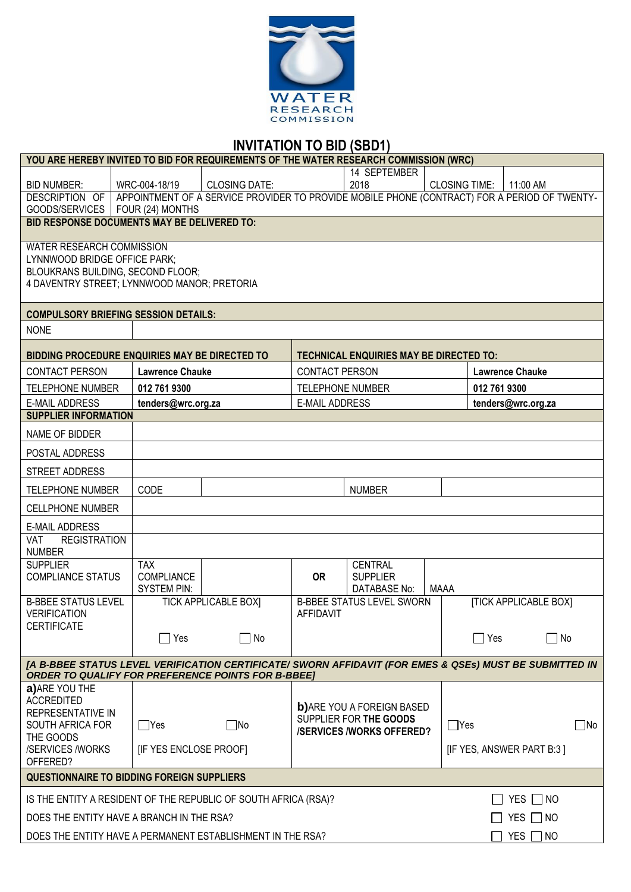

# **INVITATION TO BID (SBD1)**

| YOU ARE HEREBY INVITED TO BID FOR REQUIREMENTS OF THE WATER RESEARCH COMMISSION (WRC)                                                                                |                                                                                  |                                                     |                                                                                              |                         |                                                |                      |                    |                              |           |
|----------------------------------------------------------------------------------------------------------------------------------------------------------------------|----------------------------------------------------------------------------------|-----------------------------------------------------|----------------------------------------------------------------------------------------------|-------------------------|------------------------------------------------|----------------------|--------------------|------------------------------|-----------|
|                                                                                                                                                                      |                                                                                  |                                                     |                                                                                              |                         | 14 SEPTEMBER                                   |                      |                    |                              |           |
| <b>BID NUMBER:</b>                                                                                                                                                   | WRC-004-18/19                                                                    |                                                     | <b>CLOSING DATE:</b>                                                                         |                         | 2018                                           | <b>CLOSING TIME:</b> |                    | 11:00 AM                     |           |
| DESCRIPTION OF                                                                                                                                                       |                                                                                  |                                                     | APPOINTMENT OF A SERVICE PROVIDER TO PROVIDE MOBILE PHONE (CONTRACT) FOR A PERIOD OF TWENTY- |                         |                                                |                      |                    |                              |           |
| GOODS/SERVICES   FOUR (24) MONTHS                                                                                                                                    |                                                                                  |                                                     |                                                                                              |                         |                                                |                      |                    |                              |           |
| <b>BID RESPONSE DOCUMENTS MAY BE DELIVERED TO:</b>                                                                                                                   |                                                                                  |                                                     |                                                                                              |                         |                                                |                      |                    |                              |           |
| WATER RESEARCH COMMISSION                                                                                                                                            |                                                                                  |                                                     |                                                                                              |                         |                                                |                      |                    |                              |           |
| LYNNWOOD BRIDGE OFFICE PARK;                                                                                                                                         |                                                                                  |                                                     |                                                                                              |                         |                                                |                      |                    |                              |           |
| BLOUKRANS BUILDING, SECOND FLOOR;                                                                                                                                    |                                                                                  |                                                     |                                                                                              |                         |                                                |                      |                    |                              |           |
| 4 DAVENTRY STREET; LYNNWOOD MANOR; PRETORIA                                                                                                                          |                                                                                  |                                                     |                                                                                              |                         |                                                |                      |                    |                              |           |
| <b>COMPULSORY BRIEFING SESSION DETAILS:</b>                                                                                                                          |                                                                                  |                                                     |                                                                                              |                         |                                                |                      |                    |                              |           |
| <b>NONE</b>                                                                                                                                                          |                                                                                  |                                                     |                                                                                              |                         |                                                |                      |                    |                              |           |
| BIDDING PROCEDURE ENQUIRIES MAY BE DIRECTED TO                                                                                                                       |                                                                                  |                                                     |                                                                                              |                         | <b>TECHNICAL ENQUIRIES MAY BE DIRECTED TO:</b> |                      |                    |                              |           |
| <b>CONTACT PERSON</b>                                                                                                                                                |                                                                                  | <b>Lawrence Chauke</b>                              |                                                                                              | CONTACT PERSON          |                                                |                      |                    | <b>Lawrence Chauke</b>       |           |
| <b>TELEPHONE NUMBER</b>                                                                                                                                              | 012 761 9300                                                                     |                                                     |                                                                                              | <b>TELEPHONE NUMBER</b> |                                                |                      | 012 761 9300       |                              |           |
| <b>E-MAIL ADDRESS</b>                                                                                                                                                |                                                                                  | tenders@wrc.org.za                                  |                                                                                              | <b>E-MAIL ADDRESS</b>   |                                                |                      | tenders@wrc.org.za |                              |           |
| <b>SUPPLIER INFORMATION</b>                                                                                                                                          |                                                                                  |                                                     |                                                                                              |                         |                                                |                      |                    |                              |           |
| NAME OF BIDDER                                                                                                                                                       |                                                                                  |                                                     |                                                                                              |                         |                                                |                      |                    |                              |           |
| POSTAL ADDRESS                                                                                                                                                       |                                                                                  |                                                     |                                                                                              |                         |                                                |                      |                    |                              |           |
| <b>STREET ADDRESS</b>                                                                                                                                                |                                                                                  |                                                     |                                                                                              |                         |                                                |                      |                    |                              |           |
| <b>TELEPHONE NUMBER</b>                                                                                                                                              | CODE                                                                             |                                                     |                                                                                              |                         | <b>NUMBER</b>                                  |                      |                    |                              |           |
| <b>CELLPHONE NUMBER</b>                                                                                                                                              |                                                                                  |                                                     |                                                                                              |                         |                                                |                      |                    |                              |           |
| <b>E-MAIL ADDRESS</b>                                                                                                                                                |                                                                                  |                                                     |                                                                                              |                         |                                                |                      |                    |                              |           |
| <b>REGISTRATION</b><br>VAT                                                                                                                                           |                                                                                  |                                                     |                                                                                              |                         |                                                |                      |                    |                              |           |
| <b>NUMBER</b>                                                                                                                                                        |                                                                                  |                                                     |                                                                                              |                         |                                                |                      |                    |                              |           |
| <b>SUPPLIER</b>                                                                                                                                                      | <b>TAX</b>                                                                       |                                                     |                                                                                              |                         | CENTRAL                                        |                      |                    |                              |           |
| <b>COMPLIANCE STATUS</b>                                                                                                                                             | COMPLIANCE                                                                       |                                                     |                                                                                              | <b>OR</b>               | <b>SUPPLIER</b>                                |                      |                    |                              |           |
|                                                                                                                                                                      | <b>SYSTEM PIN:</b>                                                               |                                                     |                                                                                              |                         | DATABASE No:                                   | <b>MAAA</b>          |                    |                              |           |
| <b>B-BBEE STATUS LEVEL</b><br><b>VERIFICATION</b>                                                                                                                    |                                                                                  |                                                     | <b>TICK APPLICABLE BOXI</b>                                                                  | <b>AFFIDAVIT</b>        | <b>B-BBEE STATUS LEVEL SWORN</b>               |                      |                    | <b>[TICK APPLICABLE BOX]</b> |           |
| <b>CERTIFICATE</b>                                                                                                                                                   |                                                                                  |                                                     |                                                                                              |                         |                                                |                      |                    |                              |           |
|                                                                                                                                                                      |                                                                                  | Yes                                                 | $\Box$ No                                                                                    |                         |                                                |                      | $\Box$ Yes         |                              | No        |
|                                                                                                                                                                      |                                                                                  |                                                     |                                                                                              |                         |                                                |                      |                    |                              |           |
| [A B-BBEE STATUS LEVEL VERIFICATION CERTIFICATE/ SWORN AFFIDAVIT (FOR EMES & QSEs) MUST BE SUBMITTED IN<br><b>ORDER TO QUALIFY FOR PREFERENCE POINTS FOR B-BBEE]</b> |                                                                                  |                                                     |                                                                                              |                         |                                                |                      |                    |                              |           |
|                                                                                                                                                                      |                                                                                  |                                                     |                                                                                              |                         |                                                |                      |                    |                              |           |
| a) ARE YOU THE<br><b>ACCREDITED</b>                                                                                                                                  |                                                                                  |                                                     |                                                                                              |                         |                                                |                      |                    |                              |           |
| REPRESENTATIVE IN                                                                                                                                                    |                                                                                  |                                                     |                                                                                              |                         | <b>b)</b> ARE YOU A FOREIGN BASED              |                      |                    |                              |           |
| SOUTH AFRICA FOR                                                                                                                                                     | $\Box$ Yes                                                                       |                                                     | $\Box$ No                                                                                    |                         | SUPPLIER FOR THE GOODS                         | ∐Yes                 |                    |                              | $\Box$ No |
| THE GOODS                                                                                                                                                            |                                                                                  |                                                     |                                                                                              |                         | <b>/SERVICES /WORKS OFFERED?</b>               |                      |                    |                              |           |
| /SERVICES /WORKS                                                                                                                                                     |                                                                                  | [IF YES ENCLOSE PROOF]<br>[IF YES, ANSWER PART B:3] |                                                                                              |                         |                                                |                      |                    |                              |           |
| OFFERED?                                                                                                                                                             |                                                                                  |                                                     |                                                                                              |                         |                                                |                      |                    |                              |           |
| <b>QUESTIONNAIRE TO BIDDING FOREIGN SUPPLIERS</b>                                                                                                                    |                                                                                  |                                                     |                                                                                              |                         |                                                |                      |                    |                              |           |
|                                                                                                                                                                      |                                                                                  |                                                     | IS THE ENTITY A RESIDENT OF THE REPUBLIC OF SOUTH AFRICA (RSA)?                              |                         |                                                |                      |                    | YES $\Box$ NO                |           |
| DOES THE ENTITY HAVE A BRANCH IN THE RSA?                                                                                                                            |                                                                                  |                                                     |                                                                                              |                         |                                                |                      |                    | YES $\Box$ NO                |           |
|                                                                                                                                                                      | DOES THE ENTITY HAVE A PERMANENT ESTABLISHMENT IN THE RSA?<br>YES  <br>$\Box$ NO |                                                     |                                                                                              |                         |                                                |                      |                    |                              |           |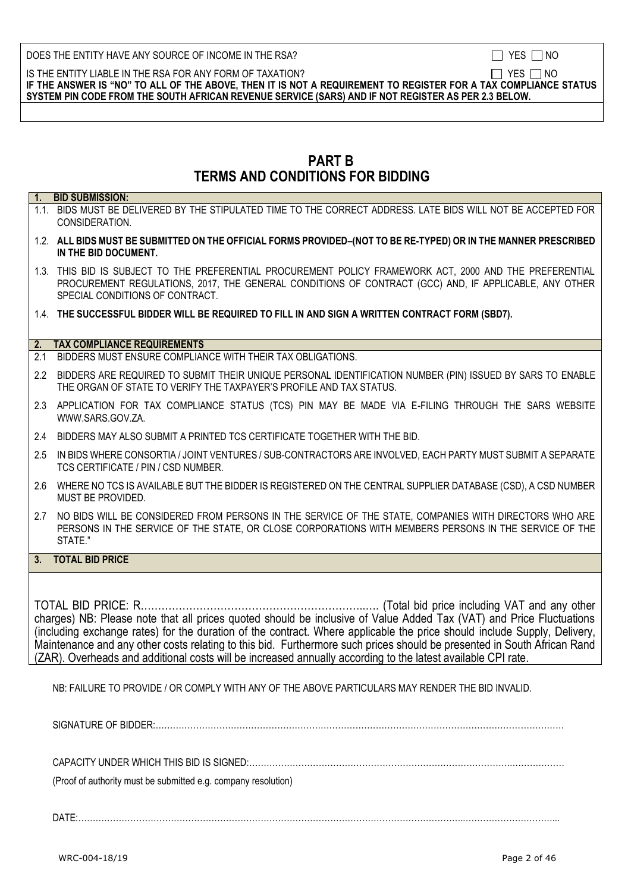|  | NΟ |
|--|----|
|  |    |

IS THE ENTITY LIABLE IN THE RSA FOR ANY FORM OF TAXATION?  $\Box$  YES  $\Box$  NO **IF THE ANSWER IS "NO" TO ALL OF THE ABOVE, THEN IT IS NOT A REQUIREMENT TO REGISTER FOR A TAX COMPLIANCE STATUS SYSTEM PIN CODE FROM THE SOUTH AFRICAN REVENUE SERVICE (SARS) AND IF NOT REGISTER AS PER 2.3 BELOW.**

# **PART B TERMS AND CONDITIONS FOR BIDDING**

|               | 1. BID SUBMISSION:                                                                                                                                                                                                                                                                                                                                                                                                                                                                                                                                               |
|---------------|------------------------------------------------------------------------------------------------------------------------------------------------------------------------------------------------------------------------------------------------------------------------------------------------------------------------------------------------------------------------------------------------------------------------------------------------------------------------------------------------------------------------------------------------------------------|
|               | 1.1. BIDS MUST BE DELIVERED BY THE STIPULATED TIME TO THE CORRECT ADDRESS. LATE BIDS WILL NOT BE ACCEPTED FOR<br>CONSIDERATION.                                                                                                                                                                                                                                                                                                                                                                                                                                  |
|               | 1.2. ALL BIDS MUST BE SUBMITTED ON THE OFFICIAL FORMS PROVIDED-(NOT TO BE RE-TYPED) OR IN THE MANNER PRESCRIBED<br>IN THE BID DOCUMENT.                                                                                                                                                                                                                                                                                                                                                                                                                          |
|               | 1.3. THIS BID IS SUBJECT TO THE PREFERENTIAL PROCUREMENT POLICY FRAMEWORK ACT, 2000 AND THE PREFERENTIAL<br>PROCUREMENT REGULATIONS, 2017, THE GENERAL CONDITIONS OF CONTRACT (GCC) AND, IF APPLICABLE, ANY OTHER<br>SPECIAL CONDITIONS OF CONTRACT.                                                                                                                                                                                                                                                                                                             |
|               | 1.4. THE SUCCESSFUL BIDDER WILL BE REQUIRED TO FILL IN AND SIGN A WRITTEN CONTRACT FORM (SBD7).                                                                                                                                                                                                                                                                                                                                                                                                                                                                  |
|               | 2. TAX COMPLIANCE REQUIREMENTS                                                                                                                                                                                                                                                                                                                                                                                                                                                                                                                                   |
| 2.1           | BIDDERS MUST ENSURE COMPLIANCE WITH THEIR TAX OBLIGATIONS.                                                                                                                                                                                                                                                                                                                                                                                                                                                                                                       |
| $2.2^{\circ}$ | BIDDERS ARE REQUIRED TO SUBMIT THEIR UNIQUE PERSONAL IDENTIFICATION NUMBER (PIN) ISSUED BY SARS TO ENABLE<br>THE ORGAN OF STATE TO VERIFY THE TAXPAYER'S PROFILE AND TAX STATUS.                                                                                                                                                                                                                                                                                                                                                                                 |
|               | 2.3 APPLICATION FOR TAX COMPLIANCE STATUS (TCS) PIN MAY BE MADE VIA E-FILING THROUGH THE SARS WEBSITE<br>WWW.SARS.GOV.ZA.                                                                                                                                                                                                                                                                                                                                                                                                                                        |
| 2.4           | BIDDERS MAY ALSO SUBMIT A PRINTED TCS CERTIFICATE TOGETHER WITH THE BID.                                                                                                                                                                                                                                                                                                                                                                                                                                                                                         |
| 2.5           | IN BIDS WHERE CONSORTIA / JOINT VENTURES / SUB-CONTRACTORS ARE INVOLVED, EACH PARTY MUST SUBMIT A SEPARATE<br>TCS CERTIFICATE / PIN / CSD NUMBER.                                                                                                                                                                                                                                                                                                                                                                                                                |
| 2.6           | WHERE NO TCS IS AVAILABLE BUT THE BIDDER IS REGISTERED ON THE CENTRAL SUPPLIER DATABASE (CSD), A CSD NUMBER<br>MUST BE PROVIDED.                                                                                                                                                                                                                                                                                                                                                                                                                                 |
| 2.7           | NO BIDS WILL BE CONSIDERED FROM PERSONS IN THE SERVICE OF THE STATE, COMPANIES WITH DIRECTORS WHO ARE<br>PERSONS IN THE SERVICE OF THE STATE, OR CLOSE CORPORATIONS WITH MEMBERS PERSONS IN THE SERVICE OF THE<br>STATE."                                                                                                                                                                                                                                                                                                                                        |
|               | 3. TOTAL BID PRICE                                                                                                                                                                                                                                                                                                                                                                                                                                                                                                                                               |
|               |                                                                                                                                                                                                                                                                                                                                                                                                                                                                                                                                                                  |
|               | TOTAL BID PRICE: R<br>(Total bid price including VAT and any other<br>charges) NB: Please note that all prices quoted should be inclusive of Value Added Tax (VAT) and Price Fluctuations<br>(including exchange rates) for the duration of the contract. Where applicable the price should include Supply, Delivery,<br>Maintenance and any other costs relating to this bid. Furthermore such prices should be presented in South African Rand<br>(ZAR). Overheads and additional costs will be increased annually according to the latest available CPI rate. |
|               | NB: FAILURE TO PROVIDE / OR COMPLY WITH ANY OF THE ABOVE PARTICULARS MAY RENDER THE BID INVALID.                                                                                                                                                                                                                                                                                                                                                                                                                                                                 |
|               |                                                                                                                                                                                                                                                                                                                                                                                                                                                                                                                                                                  |
|               |                                                                                                                                                                                                                                                                                                                                                                                                                                                                                                                                                                  |

(Proof of authority must be submitted e.g. company resolution)

DATE:……………………………………………………………………………………………………………………..…………………………...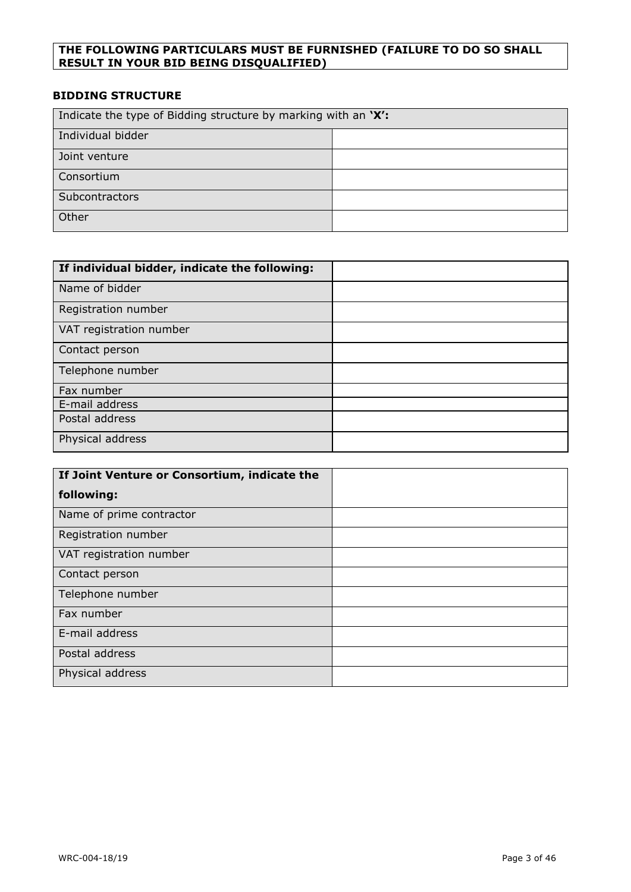## **THE FOLLOWING PARTICULARS MUST BE FURNISHED (FAILURE TO DO SO SHALL RESULT IN YOUR BID BEING DISQUALIFIED)**

## **BIDDING STRUCTURE**

| Indicate the type of Bidding structure by marking with an 'X': |  |
|----------------------------------------------------------------|--|
| Individual bidder                                              |  |
| Joint venture                                                  |  |
| Consortium                                                     |  |
| Subcontractors                                                 |  |
| Other                                                          |  |

| If individual bidder, indicate the following: |  |
|-----------------------------------------------|--|
| Name of bidder                                |  |
| Registration number                           |  |
| VAT registration number                       |  |
| Contact person                                |  |
| Telephone number                              |  |
| Fax number                                    |  |
| E-mail address                                |  |
| Postal address                                |  |
| Physical address                              |  |

| If Joint Venture or Consortium, indicate the |  |
|----------------------------------------------|--|
| following:                                   |  |
| Name of prime contractor                     |  |
| Registration number                          |  |
| VAT registration number                      |  |
| Contact person                               |  |
| Telephone number                             |  |
| Fax number                                   |  |
| E-mail address                               |  |
| Postal address                               |  |
| Physical address                             |  |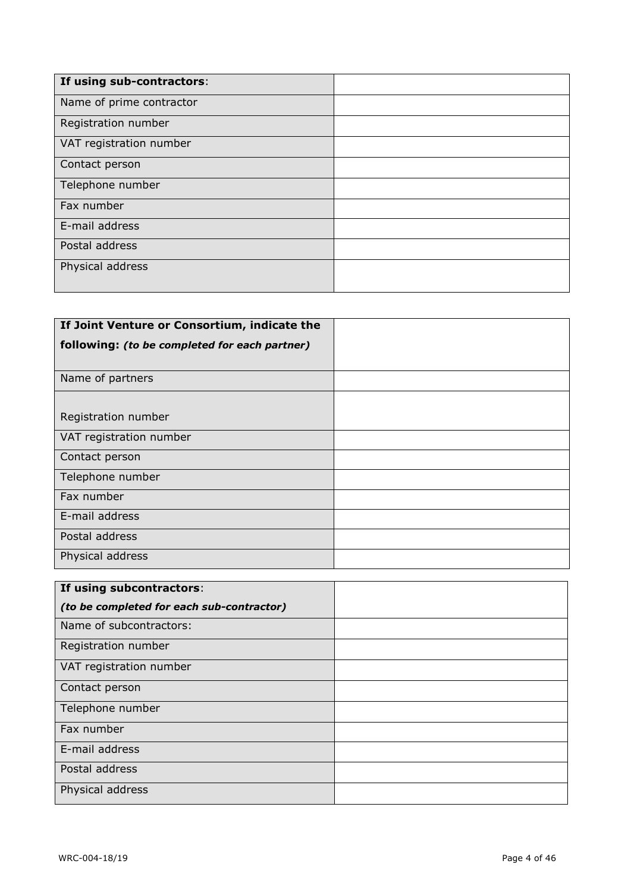| If using sub-contractors: |  |
|---------------------------|--|
| Name of prime contractor  |  |
| Registration number       |  |
| VAT registration number   |  |
| Contact person            |  |
| Telephone number          |  |
| Fax number                |  |
| E-mail address            |  |
| Postal address            |  |
| Physical address          |  |
|                           |  |

| If Joint Venture or Consortium, indicate the  |  |
|-----------------------------------------------|--|
| following: (to be completed for each partner) |  |
| Name of partners                              |  |
| Registration number                           |  |
| VAT registration number                       |  |
| Contact person                                |  |
| Telephone number                              |  |
| Fax number                                    |  |
| E-mail address                                |  |
| Postal address                                |  |
| Physical address                              |  |

| If using subcontractors:                  |  |
|-------------------------------------------|--|
| (to be completed for each sub-contractor) |  |
| Name of subcontractors:                   |  |
| Registration number                       |  |
| VAT registration number                   |  |
| Contact person                            |  |
| Telephone number                          |  |
| Fax number                                |  |
| E-mail address                            |  |
| Postal address                            |  |
| Physical address                          |  |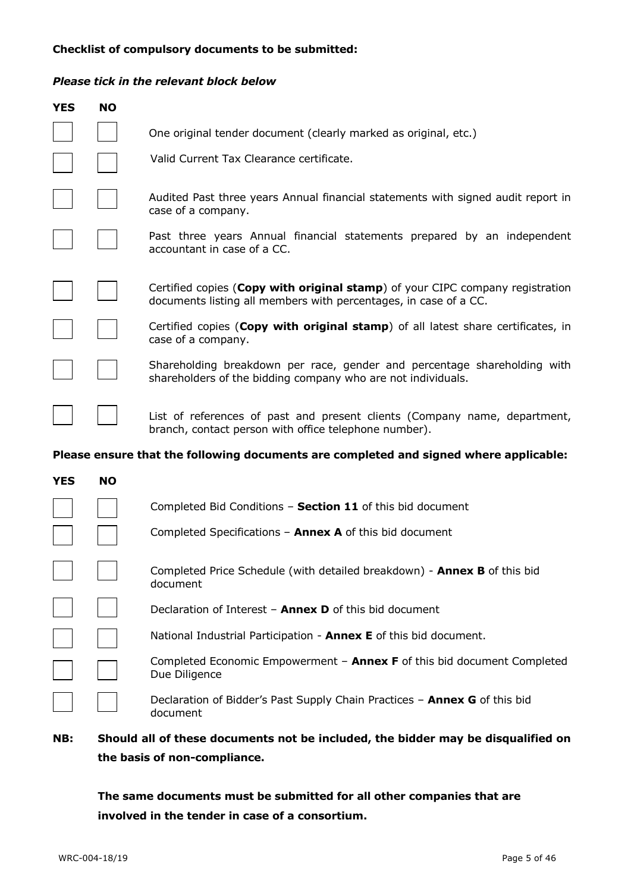#### **Checklist of compulsory documents to be submitted:**

## *Please tick in the relevant block below*

| <b>YES</b> | <b>NO</b> |                                                                                                                                                   |
|------------|-----------|---------------------------------------------------------------------------------------------------------------------------------------------------|
|            |           | One original tender document (clearly marked as original, etc.)                                                                                   |
|            |           | Valid Current Tax Clearance certificate.                                                                                                          |
|            |           | Audited Past three years Annual financial statements with signed audit report in<br>case of a company.                                            |
|            |           | Past three years Annual financial statements prepared by an independent<br>accountant in case of a CC.                                            |
|            |           | Certified copies (Copy with original stamp) of your CIPC company registration<br>documents listing all members with percentages, in case of a CC. |
|            |           | Certified copies (Copy with original stamp) of all latest share certificates, in<br>case of a company.                                            |
|            |           | Shareholding breakdown per race, gender and percentage shareholding with<br>shareholders of the bidding company who are not individuals.          |
|            |           | List of references of past and present clients (Company name, department,<br>branch, contact person with office telephone number).                |
|            |           | Please ensure that the following documents are completed and signed where applicable:                                                             |
| <b>YES</b> | <b>NO</b> |                                                                                                                                                   |
|            |           | Completed Bid Conditions - Section 11 of this bid document                                                                                        |
|            |           | Completed Specifications $-$ Annex A of this bid document                                                                                         |
|            |           | Completed Price Schedule (with detailed breakdown) - <b>Annex B</b> of this bid<br>document                                                       |
|            |           | Declaration of Interest - Annex D of this bid document                                                                                            |
|            |           | National Industrial Participation - <b>Annex E</b> of this bid document.                                                                          |
|            |           | Completed Economic Empowerment - Annex F of this bid document Completed<br>Due Diligence                                                          |
|            |           | Declaration of Bidder's Past Supply Chain Practices - Annex G of this bid<br>document                                                             |

# **NB: Should all of these documents not be included, the bidder may be disqualified on the basis of non-compliance.**

**The same documents must be submitted for all other companies that are involved in the tender in case of a consortium.**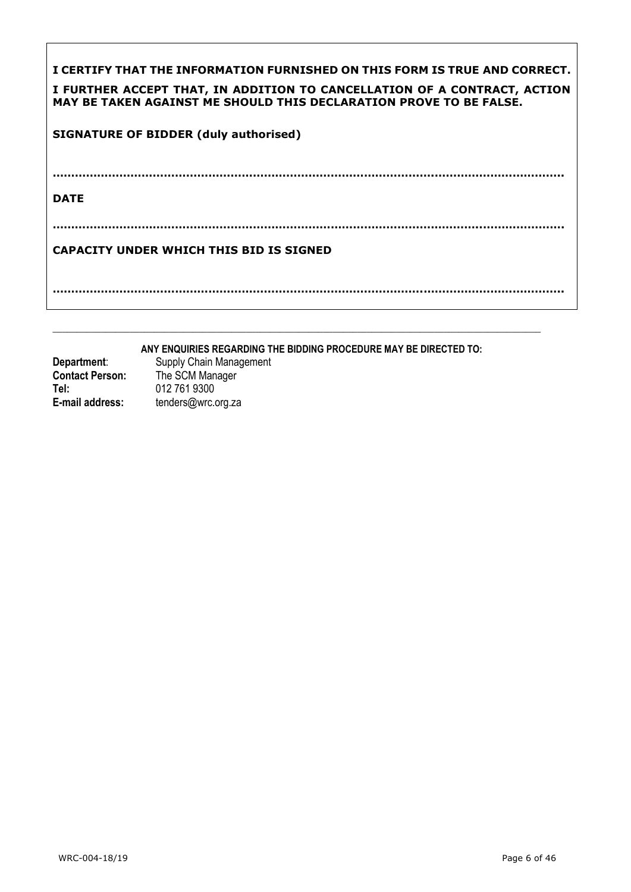| I CERTIFY THAT THE INFORMATION FURNISHED ON THIS FORM IS TRUE AND CORRECT.<br>I FURTHER ACCEPT THAT, IN ADDITION TO CANCELLATION OF A CONTRACT, ACTION<br>MAY BE TAKEN AGAINST ME SHOULD THIS DECLARATION PROVE TO BE FALSE. |
|------------------------------------------------------------------------------------------------------------------------------------------------------------------------------------------------------------------------------|
| <b>SIGNATURE OF BIDDER (duly authorised)</b>                                                                                                                                                                                 |
| <b>DATE</b>                                                                                                                                                                                                                  |
|                                                                                                                                                                                                                              |
| <b>CAPACITY UNDER WHICH THIS BID IS SIGNED</b>                                                                                                                                                                               |
|                                                                                                                                                                                                                              |

**ANY ENQUIRIES REGARDING THE BIDDING PROCEDURE MAY BE DIRECTED TO:**

 $\_$  , and the set of the set of the set of the set of the set of the set of the set of the set of the set of the set of the set of the set of the set of the set of the set of the set of the set of the set of the set of th

| Department:            | Supply Chain Management |
|------------------------|-------------------------|
| <b>Contact Person:</b> | The SCM Manager         |
| Tel:                   | 012 761 9300            |
| E-mail address:        | tenders@wrc.org.za      |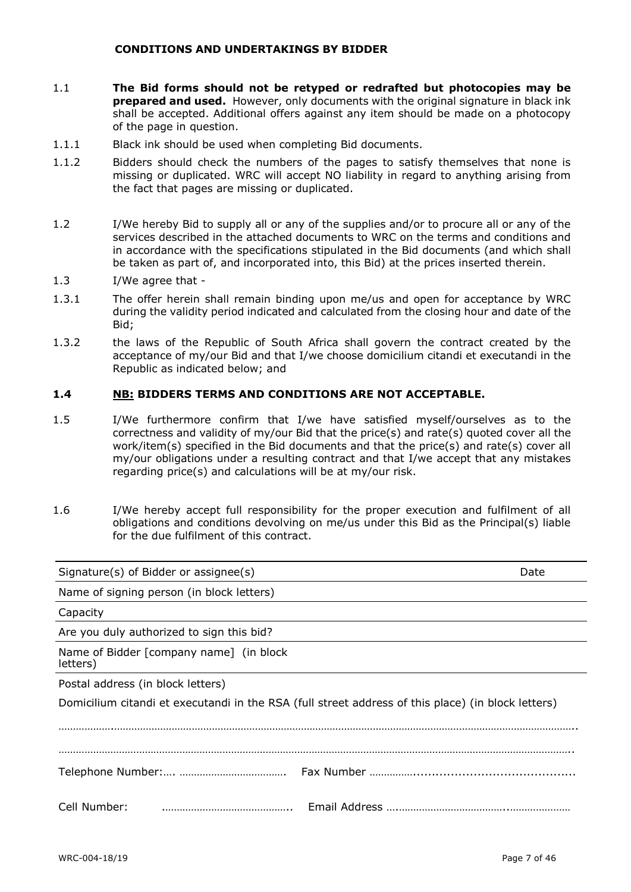#### **CONDITIONS AND UNDERTAKINGS BY BIDDER**

- 1.1 **The Bid forms should not be retyped or redrafted but photocopies may be prepared and used.** However, only documents with the original signature in black ink shall be accepted. Additional offers against any item should be made on a photocopy of the page in question.
- 1.1.1 Black ink should be used when completing Bid documents.
- 1.1.2 Bidders should check the numbers of the pages to satisfy themselves that none is missing or duplicated. WRC will accept NO liability in regard to anything arising from the fact that pages are missing or duplicated.
- 1.2 I/We hereby Bid to supply all or any of the supplies and/or to procure all or any of the services described in the attached documents to WRC on the terms and conditions and in accordance with the specifications stipulated in the Bid documents (and which shall be taken as part of, and incorporated into, this Bid) at the prices inserted therein.
- 1.3 I/We agree that -
- 1.3.1 The offer herein shall remain binding upon me/us and open for acceptance by WRC during the validity period indicated and calculated from the closing hour and date of the Bid;
- 1.3.2 the laws of the Republic of South Africa shall govern the contract created by the acceptance of my/our Bid and that I/we choose domicilium citandi et executandi in the Republic as indicated below; and

#### **1.4 NB: BIDDERS TERMS AND CONDITIONS ARE NOT ACCEPTABLE.**

- 1.5 I/We furthermore confirm that I/we have satisfied myself/ourselves as to the correctness and validity of my/our Bid that the price(s) and rate(s) quoted cover all the work/item(s) specified in the Bid documents and that the price(s) and rate(s) cover all my/our obligations under a resulting contract and that I/we accept that any mistakes regarding price(s) and calculations will be at my/our risk.
- 1.6 I/We hereby accept full responsibility for the proper execution and fulfilment of all obligations and conditions devolving on me/us under this Bid as the Principal(s) liable for the due fulfilment of this contract.

| Signature(s) of Bidder or assignee(s)                                                              | Date |
|----------------------------------------------------------------------------------------------------|------|
| Name of signing person (in block letters)                                                          |      |
| Capacity                                                                                           |      |
| Are you duly authorized to sign this bid?                                                          |      |
| Name of Bidder [company name] (in block<br>letters)                                                |      |
| Postal address (in block letters)                                                                  |      |
| Domicilium citandi et executandi in the RSA (full street address of this place) (in block letters) |      |
|                                                                                                    |      |
|                                                                                                    |      |
| Cell Number:                                                                                       |      |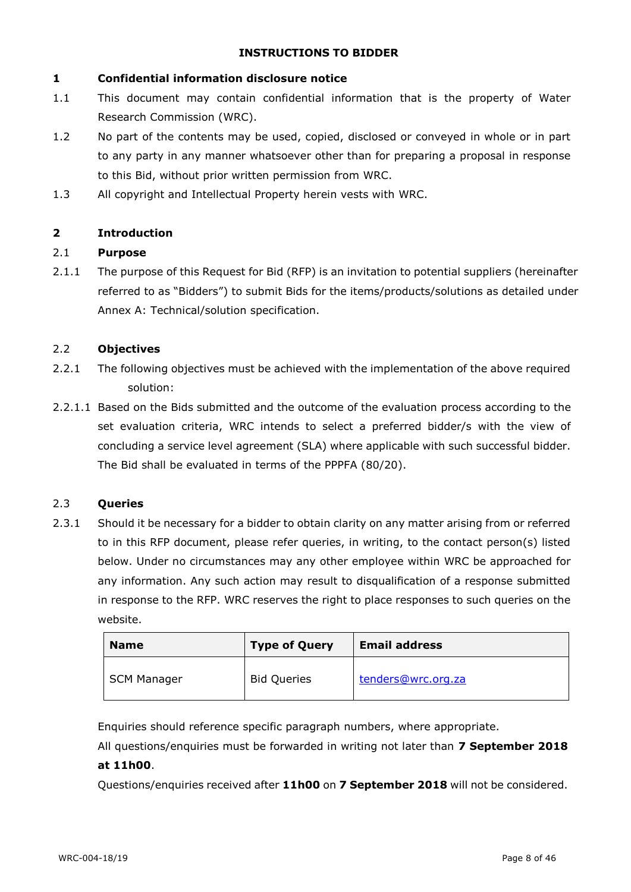### **INSTRUCTIONS TO BIDDER**

#### **1 Confidential information disclosure notice**

- 1.1 This document may contain confidential information that is the property of Water Research Commission (WRC).
- 1.2 No part of the contents may be used, copied, disclosed or conveyed in whole or in part to any party in any manner whatsoever other than for preparing a proposal in response to this Bid, without prior written permission from WRC.
- 1.3 All copyright and Intellectual Property herein vests with WRC.

## **2 Introduction**

#### 2.1 **Purpose**

2.1.1 The purpose of this Request for Bid (RFP) is an invitation to potential suppliers (hereinafter referred to as "Bidders") to submit Bids for the items/products/solutions as detailed under Annex A: Technical/solution specification.

#### 2.2 **Objectives**

- 2.2.1 The following objectives must be achieved with the implementation of the above required solution:
- 2.2.1.1 Based on the Bids submitted and the outcome of the evaluation process according to the set evaluation criteria, WRC intends to select a preferred bidder/s with the view of concluding a service level agreement (SLA) where applicable with such successful bidder. The Bid shall be evaluated in terms of the PPPFA (80/20).

#### 2.3 **Queries**

2.3.1 Should it be necessary for a bidder to obtain clarity on any matter arising from or referred to in this RFP document, please refer queries, in writing, to the contact person(s) listed below. Under no circumstances may any other employee within WRC be approached for any information. Any such action may result to disqualification of a response submitted in response to the RFP. WRC reserves the right to place responses to such queries on the website.

| <b>Name</b>        | <b>Type of Query</b> | <b>Email address</b> |
|--------------------|----------------------|----------------------|
| <b>SCM Manager</b> | <b>Bid Queries</b>   | tenders@wrc.org.za   |

Enquiries should reference specific paragraph numbers, where appropriate.

All questions/enquiries must be forwarded in writing not later than **7 September 2018**

## **at 11h00**.

Questions/enquiries received after **11h00** on **7 September 2018** will not be considered.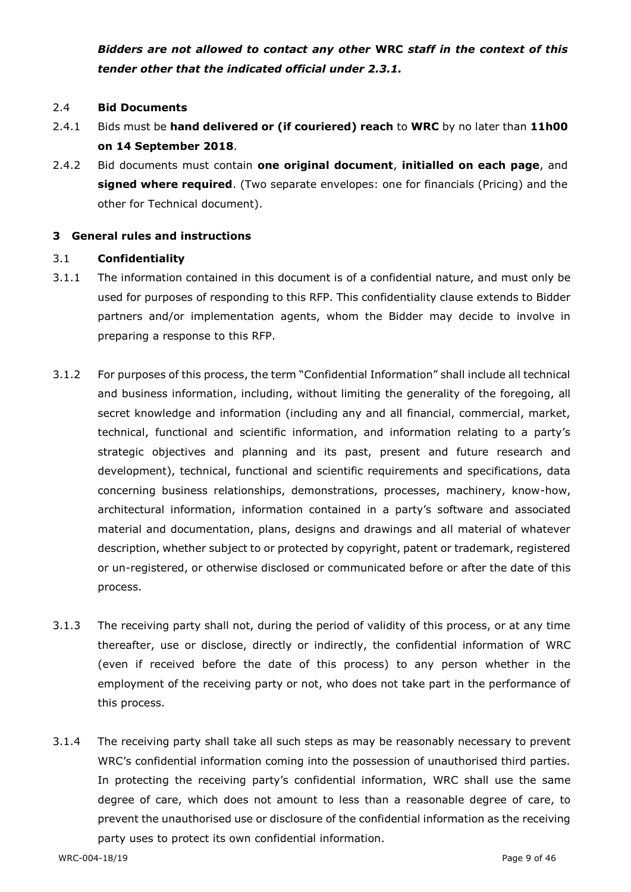*Bidders are not allowed to contact any other* **WRC** *staff in the context of this tender other that the indicated official under 2.3.1.*

#### 2.4 **Bid Documents**

- 2.4.1 Bids must be **hand delivered or (if couriered) reach** to **WRC** by no later than **11h00 on 14 September 2018**.
- 2.4.2 Bid documents must contain **one original document**, **initialled on each page**, and **signed where required**. (Two separate envelopes: one for financials (Pricing) and the other for Technical document).

#### **3 General rules and instructions**

#### 3.1 **Confidentiality**

- 3.1.1 The information contained in this document is of a confidential nature, and must only be used for purposes of responding to this RFP. This confidentiality clause extends to Bidder partners and/or implementation agents, whom the Bidder may decide to involve in preparing a response to this RFP.
- 3.1.2 For purposes of this process, the term "Confidential Information" shall include all technical and business information, including, without limiting the generality of the foregoing, all secret knowledge and information (including any and all financial, commercial, market, technical, functional and scientific information, and information relating to a party's strategic objectives and planning and its past, present and future research and development), technical, functional and scientific requirements and specifications, data concerning business relationships, demonstrations, processes, machinery, know-how, architectural information, information contained in a party's software and associated material and documentation, plans, designs and drawings and all material of whatever description, whether subject to or protected by copyright, patent or trademark, registered or un-registered, or otherwise disclosed or communicated before or after the date of this process.
- 3.1.3 The receiving party shall not, during the period of validity of this process, or at any time thereafter, use or disclose, directly or indirectly, the confidential information of WRC (even if received before the date of this process) to any person whether in the employment of the receiving party or not, who does not take part in the performance of this process.
- 3.1.4 The receiving party shall take all such steps as may be reasonably necessary to prevent WRC's confidential information coming into the possession of unauthorised third parties. In protecting the receiving party's confidential information, WRC shall use the same degree of care, which does not amount to less than a reasonable degree of care, to prevent the unauthorised use or disclosure of the confidential information as the receiving party uses to protect its own confidential information.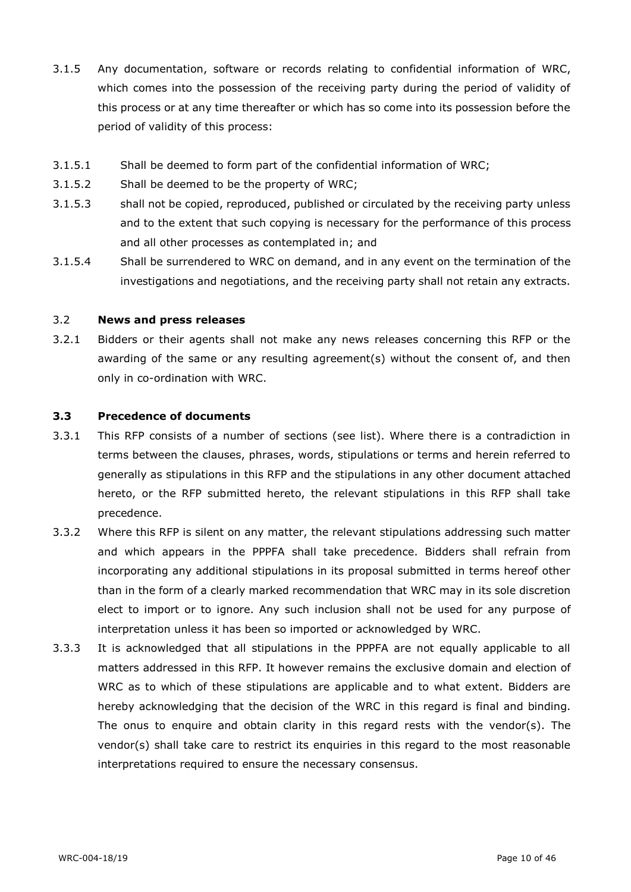- 3.1.5 Any documentation, software or records relating to confidential information of WRC, which comes into the possession of the receiving party during the period of validity of this process or at any time thereafter or which has so come into its possession before the period of validity of this process:
- 3.1.5.1 Shall be deemed to form part of the confidential information of WRC;
- 3.1.5.2 Shall be deemed to be the property of WRC;
- 3.1.5.3 shall not be copied, reproduced, published or circulated by the receiving party unless and to the extent that such copying is necessary for the performance of this process and all other processes as contemplated in; and
- 3.1.5.4 Shall be surrendered to WRC on demand, and in any event on the termination of the investigations and negotiations, and the receiving party shall not retain any extracts.

### 3.2 **News and press releases**

3.2.1 Bidders or their agents shall not make any news releases concerning this RFP or the awarding of the same or any resulting agreement(s) without the consent of, and then only in co-ordination with WRC.

#### **3.3 Precedence of documents**

- 3.3.1 This RFP consists of a number of sections (see list). Where there is a contradiction in terms between the clauses, phrases, words, stipulations or terms and herein referred to generally as stipulations in this RFP and the stipulations in any other document attached hereto, or the RFP submitted hereto, the relevant stipulations in this RFP shall take precedence.
- 3.3.2 Where this RFP is silent on any matter, the relevant stipulations addressing such matter and which appears in the PPPFA shall take precedence. Bidders shall refrain from incorporating any additional stipulations in its proposal submitted in terms hereof other than in the form of a clearly marked recommendation that WRC may in its sole discretion elect to import or to ignore. Any such inclusion shall not be used for any purpose of interpretation unless it has been so imported or acknowledged by WRC.
- 3.3.3 It is acknowledged that all stipulations in the PPPFA are not equally applicable to all matters addressed in this RFP. It however remains the exclusive domain and election of WRC as to which of these stipulations are applicable and to what extent. Bidders are hereby acknowledging that the decision of the WRC in this regard is final and binding. The onus to enquire and obtain clarity in this regard rests with the vendor(s). The vendor(s) shall take care to restrict its enquiries in this regard to the most reasonable interpretations required to ensure the necessary consensus.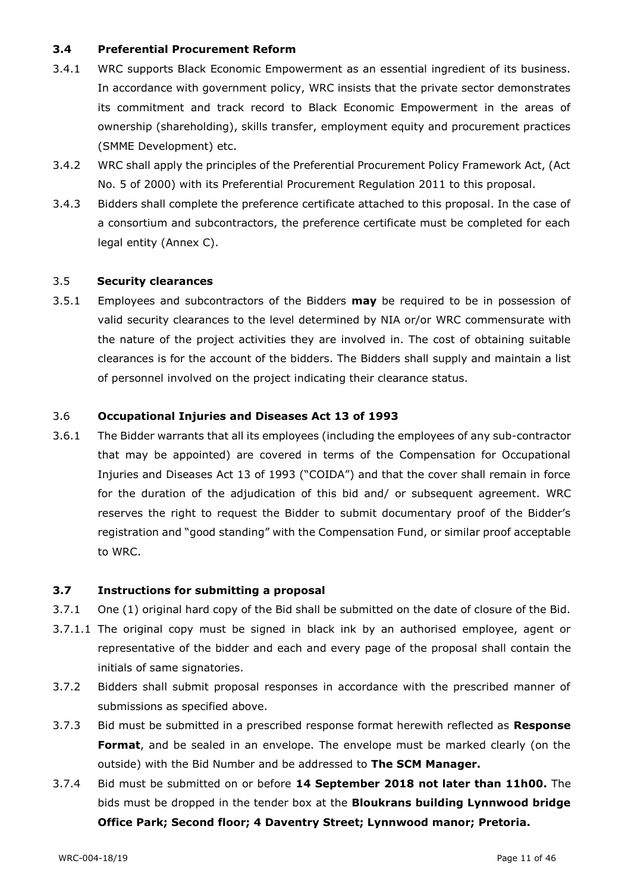## **3.4 Preferential Procurement Reform**

- 3.4.1 WRC supports Black Economic Empowerment as an essential ingredient of its business. In accordance with government policy, WRC insists that the private sector demonstrates its commitment and track record to Black Economic Empowerment in the areas of ownership (shareholding), skills transfer, employment equity and procurement practices (SMME Development) etc.
- 3.4.2 WRC shall apply the principles of the Preferential Procurement Policy Framework Act, (Act No. 5 of 2000) with its Preferential Procurement Regulation 2011 to this proposal.
- 3.4.3 Bidders shall complete the preference certificate attached to this proposal. In the case of a consortium and subcontractors, the preference certificate must be completed for each legal entity (Annex C).

#### 3.5 **Security clearances**

3.5.1 Employees and subcontractors of the Bidders **may** be required to be in possession of valid security clearances to the level determined by NIA or/or WRC commensurate with the nature of the project activities they are involved in. The cost of obtaining suitable clearances is for the account of the bidders. The Bidders shall supply and maintain a list of personnel involved on the project indicating their clearance status.

#### 3.6 **Occupational Injuries and Diseases Act 13 of 1993**

3.6.1 The Bidder warrants that all its employees (including the employees of any sub-contractor that may be appointed) are covered in terms of the Compensation for Occupational Injuries and Diseases Act 13 of 1993 ("COIDA") and that the cover shall remain in force for the duration of the adjudication of this bid and/ or subsequent agreement. WRC reserves the right to request the Bidder to submit documentary proof of the Bidder's registration and "good standing" with the Compensation Fund, or similar proof acceptable to WRC.

#### **3.7 Instructions for submitting a proposal**

- 3.7.1 One (1) original hard copy of the Bid shall be submitted on the date of closure of the Bid.
- 3.7.1.1 The original copy must be signed in black ink by an authorised employee, agent or representative of the bidder and each and every page of the proposal shall contain the initials of same signatories.
- 3.7.2 Bidders shall submit proposal responses in accordance with the prescribed manner of submissions as specified above.
- 3.7.3 Bid must be submitted in a prescribed response format herewith reflected as **Response Format**, and be sealed in an envelope. The envelope must be marked clearly (on the outside) with the Bid Number and be addressed to **The SCM Manager.**
- 3.7.4 Bid must be submitted on or before **14 September 2018 not later than 11h00.** The bids must be dropped in the tender box at the **Bloukrans building Lynnwood bridge Office Park; Second floor; 4 Daventry Street; Lynnwood manor; Pretoria.**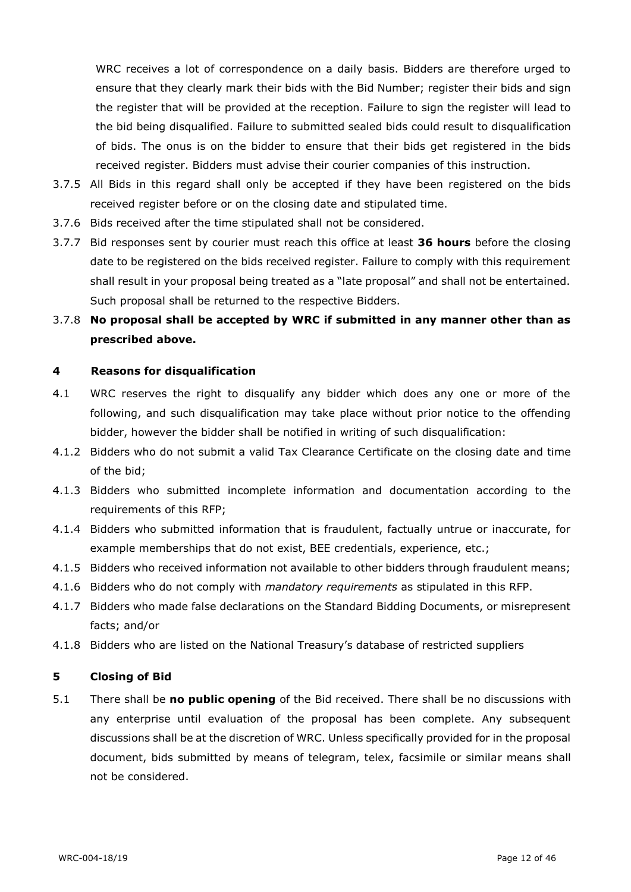WRC receives a lot of correspondence on a daily basis. Bidders are therefore urged to ensure that they clearly mark their bids with the Bid Number; register their bids and sign the register that will be provided at the reception. Failure to sign the register will lead to the bid being disqualified. Failure to submitted sealed bids could result to disqualification of bids. The onus is on the bidder to ensure that their bids get registered in the bids received register. Bidders must advise their courier companies of this instruction.

- 3.7.5 All Bids in this regard shall only be accepted if they have been registered on the bids received register before or on the closing date and stipulated time.
- 3.7.6 Bids received after the time stipulated shall not be considered.
- 3.7.7 Bid responses sent by courier must reach this office at least **36 hours** before the closing date to be registered on the bids received register. Failure to comply with this requirement shall result in your proposal being treated as a "late proposal" and shall not be entertained. Such proposal shall be returned to the respective Bidders.

# 3.7.8 **No proposal shall be accepted by WRC if submitted in any manner other than as prescribed above.**

## **4 Reasons for disqualification**

- 4.1 WRC reserves the right to disqualify any bidder which does any one or more of the following, and such disqualification may take place without prior notice to the offending bidder, however the bidder shall be notified in writing of such disqualification:
- 4.1.2 Bidders who do not submit a valid Tax Clearance Certificate on the closing date and time of the bid;
- 4.1.3 Bidders who submitted incomplete information and documentation according to the requirements of this RFP;
- 4.1.4 Bidders who submitted information that is fraudulent, factually untrue or inaccurate, for example memberships that do not exist, BEE credentials, experience, etc.;
- 4.1.5 Bidders who received information not available to other bidders through fraudulent means;
- 4.1.6 Bidders who do not comply with *mandatory requirements* as stipulated in this RFP.
- 4.1.7 Bidders who made false declarations on the Standard Bidding Documents, or misrepresent facts; and/or
- 4.1.8 Bidders who are listed on the National Treasury's database of restricted suppliers

#### **5 Closing of Bid**

5.1 There shall be **no public opening** of the Bid received. There shall be no discussions with any enterprise until evaluation of the proposal has been complete. Any subsequent discussions shall be at the discretion of WRC. Unless specifically provided for in the proposal document, bids submitted by means of telegram, telex, facsimile or similar means shall not be considered.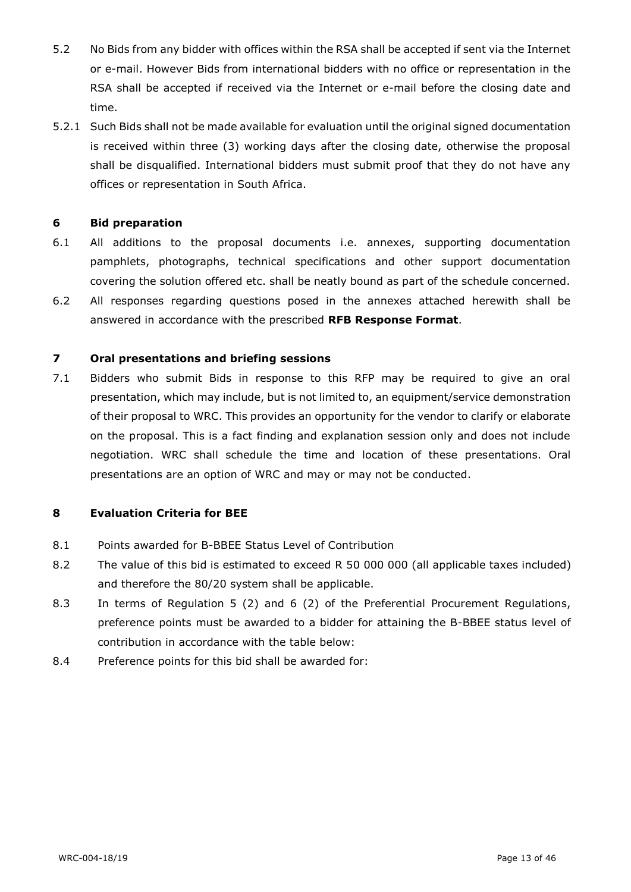- 5.2 No Bids from any bidder with offices within the RSA shall be accepted if sent via the Internet or e-mail. However Bids from international bidders with no office or representation in the RSA shall be accepted if received via the Internet or e-mail before the closing date and time.
- 5.2.1 Such Bids shall not be made available for evaluation until the original signed documentation is received within three (3) working days after the closing date, otherwise the proposal shall be disqualified. International bidders must submit proof that they do not have any offices or representation in South Africa.

#### **6 Bid preparation**

- 6.1 All additions to the proposal documents i.e. annexes, supporting documentation pamphlets, photographs, technical specifications and other support documentation covering the solution offered etc. shall be neatly bound as part of the schedule concerned.
- 6.2 All responses regarding questions posed in the annexes attached herewith shall be answered in accordance with the prescribed **RFB Response Format**.

#### **7 Oral presentations and briefing sessions**

7.1 Bidders who submit Bids in response to this RFP may be required to give an oral presentation, which may include, but is not limited to, an equipment/service demonstration of their proposal to WRC. This provides an opportunity for the vendor to clarify or elaborate on the proposal. This is a fact finding and explanation session only and does not include negotiation. WRC shall schedule the time and location of these presentations. Oral presentations are an option of WRC and may or may not be conducted.

## **8 Evaluation Criteria for BEE**

- 8.1 Points awarded for B-BBEE Status Level of Contribution
- 8.2 The value of this bid is estimated to exceed R 50 000 000 (all applicable taxes included) and therefore the 80/20 system shall be applicable.
- 8.3 In terms of Regulation 5 (2) and 6 (2) of the Preferential Procurement Regulations, preference points must be awarded to a bidder for attaining the B-BBEE status level of contribution in accordance with the table below:
- 8.4 Preference points for this bid shall be awarded for: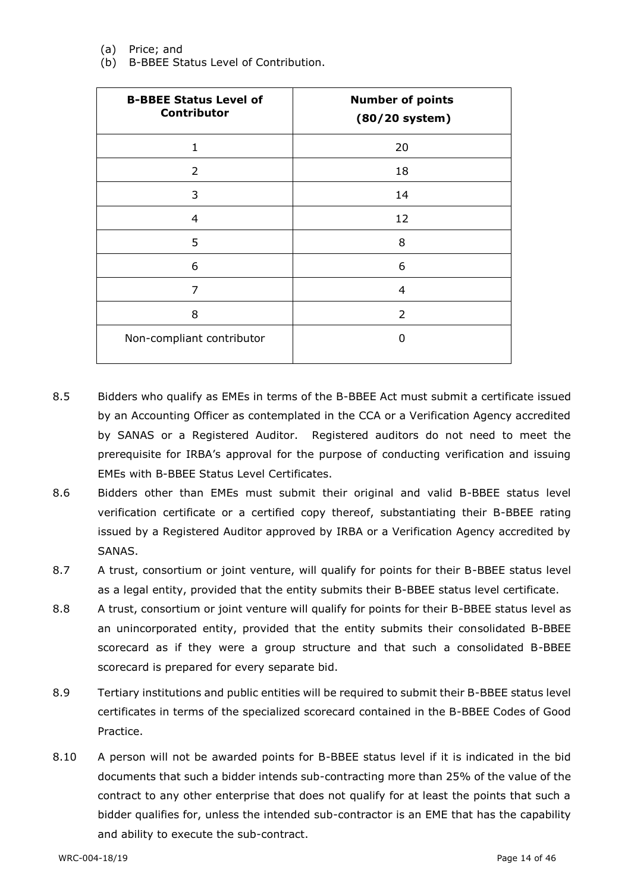(a) Price; and

(b) B-BBEE Status Level of Contribution.

| <b>B-BBEE Status Level of</b><br>Contributor | <b>Number of points</b><br>$(80/20$ system) |
|----------------------------------------------|---------------------------------------------|
| 1                                            | 20                                          |
| 2                                            | 18                                          |
| 3                                            | 14                                          |
| $\overline{4}$                               | 12                                          |
| 5                                            | 8                                           |
| 6                                            | 6                                           |
| 7                                            | 4                                           |
| 8                                            | 2                                           |
| Non-compliant contributor                    | O                                           |

- 8.5 Bidders who qualify as EMEs in terms of the B-BBEE Act must submit a certificate issued by an Accounting Officer as contemplated in the CCA or a Verification Agency accredited by SANAS or a Registered Auditor. Registered auditors do not need to meet the prerequisite for IRBA's approval for the purpose of conducting verification and issuing EMEs with B-BBEE Status Level Certificates.
- 8.6 Bidders other than EMEs must submit their original and valid B-BBEE status level verification certificate or a certified copy thereof, substantiating their B-BBEE rating issued by a Registered Auditor approved by IRBA or a Verification Agency accredited by SANAS.
- 8.7 A trust, consortium or joint venture, will qualify for points for their B-BBEE status level as a legal entity, provided that the entity submits their B-BBEE status level certificate.
- 8.8 A trust, consortium or joint venture will qualify for points for their B-BBEE status level as an unincorporated entity, provided that the entity submits their consolidated B-BBEE scorecard as if they were a group structure and that such a consolidated B-BBEE scorecard is prepared for every separate bid.
- 8.9 Tertiary institutions and public entities will be required to submit their B-BBEE status level certificates in terms of the specialized scorecard contained in the B-BBEE Codes of Good Practice.
- 8.10 A person will not be awarded points for B-BBEE status level if it is indicated in the bid documents that such a bidder intends sub-contracting more than 25% of the value of the contract to any other enterprise that does not qualify for at least the points that such a bidder qualifies for, unless the intended sub-contractor is an EME that has the capability and ability to execute the sub-contract.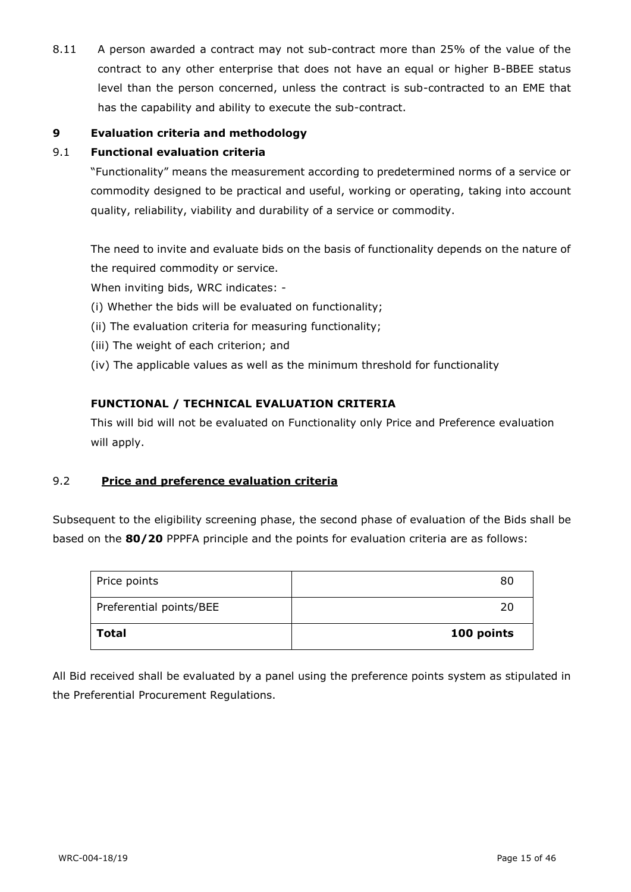8.11 A person awarded a contract may not sub-contract more than 25% of the value of the contract to any other enterprise that does not have an equal or higher B-BBEE status level than the person concerned, unless the contract is sub-contracted to an EME that has the capability and ability to execute the sub-contract.

## **9 Evaluation criteria and methodology**

#### 9.1 **Functional evaluation criteria**

"Functionality" means the measurement according to predetermined norms of a service or commodity designed to be practical and useful, working or operating, taking into account quality, reliability, viability and durability of a service or commodity.

The need to invite and evaluate bids on the basis of functionality depends on the nature of the required commodity or service.

When inviting bids, WRC indicates: -

- (i) Whether the bids will be evaluated on functionality;
- (ii) The evaluation criteria for measuring functionality;
- (iii) The weight of each criterion; and
- (iv) The applicable values as well as the minimum threshold for functionality

#### **FUNCTIONAL / TECHNICAL EVALUATION CRITERIA**

This will bid will not be evaluated on Functionality only Price and Preference evaluation will apply.

## 9.2 **Price and preference evaluation criteria**

Subsequent to the eligibility screening phase, the second phase of evaluation of the Bids shall be based on the **80/20** PPPFA principle and the points for evaluation criteria are as follows:

| Price points            | 80         |
|-------------------------|------------|
| Preferential points/BEE | 20         |
| Total                   | 100 points |

All Bid received shall be evaluated by a panel using the preference points system as stipulated in the Preferential Procurement Regulations.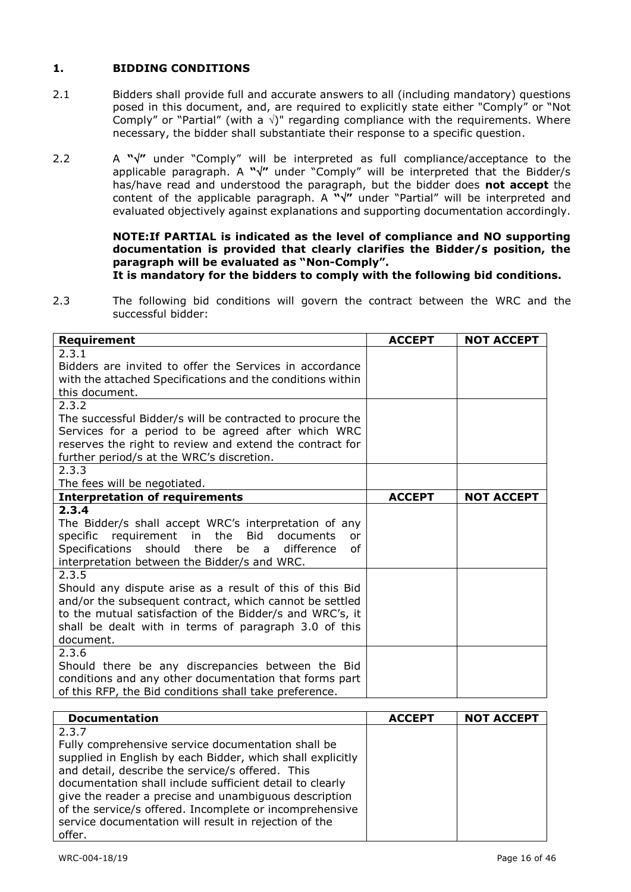## **1. BIDDING CONDITIONS**

- 2.1 Bidders shall provide full and accurate answers to all (including mandatory) questions posed in this document, and, are required to explicitly state either "Comply" or "Not Comply" or "Partial" (with a  $\sqrt{ }$ )" regarding compliance with the requirements. Where necessary, the bidder shall substantiate their response to a specific question.
- 2.2 A " $\sqrt{''}$  under "Comply" will be interpreted as full compliance/acceptance to the applicable paragraph. A **""** under "Comply" will be interpreted that the Bidder/s has/have read and understood the paragraph, but the bidder does **not accept** the content of the applicable paragraph. A **""** under "Partial" will be interpreted and evaluated objectively against explanations and supporting documentation accordingly.

#### **NOTE:If PARTIAL is indicated as the level of compliance and NO supporting documentation is provided that clearly clarifies the Bidder/s position, the paragraph will be evaluated as "Non-Comply".**

## **It is mandatory for the bidders to comply with the following bid conditions.**

2.3 The following bid conditions will govern the contract between the WRC and the successful bidder:

| Requirement                                                | <b>ACCEPT</b> | <b>NOT ACCEPT</b> |
|------------------------------------------------------------|---------------|-------------------|
| 2.3.1                                                      |               |                   |
| Bidders are invited to offer the Services in accordance    |               |                   |
| with the attached Specifications and the conditions within |               |                   |
| this document.                                             |               |                   |
| 2.3.2                                                      |               |                   |
| The successful Bidder/s will be contracted to procure the  |               |                   |
| Services for a period to be agreed after which WRC         |               |                   |
| reserves the right to review and extend the contract for   |               |                   |
| further period/s at the WRC's discretion.                  |               |                   |
| 2.3.3                                                      |               |                   |
| The fees will be negotiated.                               |               |                   |
| <b>Interpretation of requirements</b>                      | <b>ACCEPT</b> | <b>NOT ACCEPT</b> |
| 2.3.4                                                      |               |                   |
| The Bidder/s shall accept WRC's interpretation of any      |               |                   |
| specific requirement in the<br>Bid<br>documents<br>or      |               |                   |
| Specifications<br>should there<br>of<br>be a<br>difference |               |                   |
| interpretation between the Bidder/s and WRC.<br>2.3.5      |               |                   |
| Should any dispute arise as a result of this of this Bid   |               |                   |
| and/or the subsequent contract, which cannot be settled    |               |                   |
| to the mutual satisfaction of the Bidder/s and WRC's, it   |               |                   |
| shall be dealt with in terms of paragraph 3.0 of this      |               |                   |
| document.                                                  |               |                   |
| 2.3.6                                                      |               |                   |
| Should there be any discrepancies between the Bid          |               |                   |
| conditions and any other documentation that forms part     |               |                   |
| of this RFP, the Bid conditions shall take preference.     |               |                   |

| <b>Documentation</b>                                       | <b>ACCEPT</b> | <b>NOT ACCEPT</b> |
|------------------------------------------------------------|---------------|-------------------|
| 2.3.7                                                      |               |                   |
| Fully comprehensive service documentation shall be         |               |                   |
| supplied in English by each Bidder, which shall explicitly |               |                   |
| and detail, describe the service/s offered. This           |               |                   |
| documentation shall include sufficient detail to clearly   |               |                   |
| give the reader a precise and unambiguous description      |               |                   |
| of the service/s offered. Incomplete or incomprehensive    |               |                   |
| service documentation will result in rejection of the      |               |                   |
| offer.                                                     |               |                   |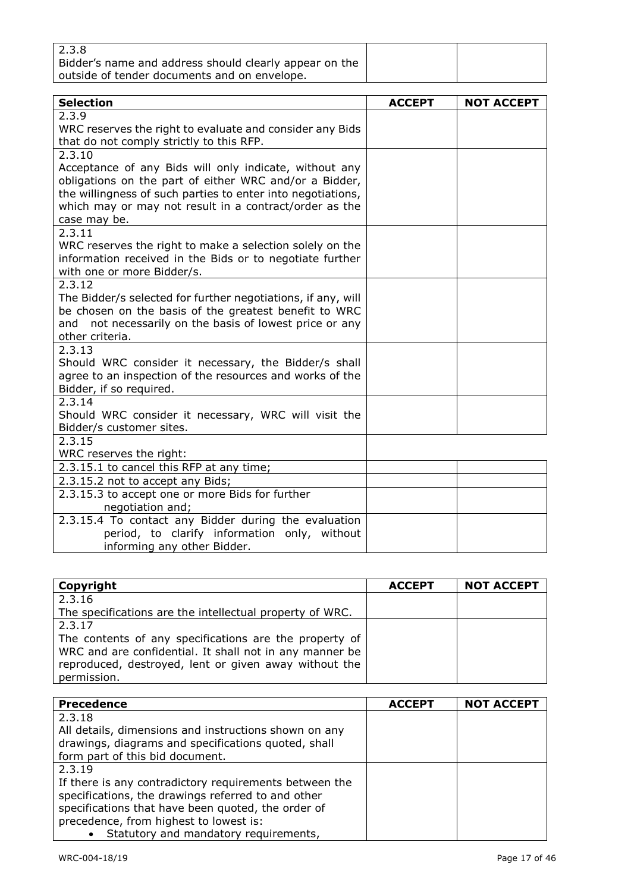| 2.3.8                                                  |  |
|--------------------------------------------------------|--|
| Bidder's name and address should clearly appear on the |  |
| outside of tender documents and on envelope.           |  |

| <b>Selection</b>                                             | <b>ACCEPT</b> | <b>NOT ACCEPT</b> |
|--------------------------------------------------------------|---------------|-------------------|
| 2.3.9                                                        |               |                   |
| WRC reserves the right to evaluate and consider any Bids     |               |                   |
| that do not comply strictly to this RFP.                     |               |                   |
| 2.3.10                                                       |               |                   |
| Acceptance of any Bids will only indicate, without any       |               |                   |
| obligations on the part of either WRC and/or a Bidder,       |               |                   |
| the willingness of such parties to enter into negotiations,  |               |                   |
| which may or may not result in a contract/order as the       |               |                   |
| case may be.                                                 |               |                   |
| 2.3.11                                                       |               |                   |
| WRC reserves the right to make a selection solely on the     |               |                   |
| information received in the Bids or to negotiate further     |               |                   |
| with one or more Bidder/s.                                   |               |                   |
| 2.3.12                                                       |               |                   |
| The Bidder/s selected for further negotiations, if any, will |               |                   |
| be chosen on the basis of the greatest benefit to WRC        |               |                   |
| not necessarily on the basis of lowest price or any<br>and   |               |                   |
| other criteria.                                              |               |                   |
| 2.3.13                                                       |               |                   |
| Should WRC consider it necessary, the Bidder/s shall         |               |                   |
| agree to an inspection of the resources and works of the     |               |                   |
| Bidder, if so required.                                      |               |                   |
| 2.3.14                                                       |               |                   |
| Should WRC consider it necessary, WRC will visit the         |               |                   |
| Bidder/s customer sites.                                     |               |                   |
| 2.3.15                                                       |               |                   |
| WRC reserves the right:                                      |               |                   |
| 2.3.15.1 to cancel this RFP at any time;                     |               |                   |
| 2.3.15.2 not to accept any Bids;                             |               |                   |
| 2.3.15.3 to accept one or more Bids for further              |               |                   |
| negotiation and;                                             |               |                   |
| 2.3.15.4 To contact any Bidder during the evaluation         |               |                   |
| period, to clarify information only, without                 |               |                   |

informing any other Bidder.

| Copyright                                                | <b>ACCEPT</b> | <b>NOT ACCEPT</b> |
|----------------------------------------------------------|---------------|-------------------|
| 2.3.16                                                   |               |                   |
| The specifications are the intellectual property of WRC. |               |                   |
| 2.3.17                                                   |               |                   |
| The contents of any specifications are the property of   |               |                   |
| WRC and are confidential. It shall not in any manner be  |               |                   |
| reproduced, destroyed, lent or given away without the    |               |                   |
| permission.                                              |               |                   |

| <b>Precedence</b>                                      | <b>ACCEPT</b> | <b>NOT ACCEPT</b> |
|--------------------------------------------------------|---------------|-------------------|
| 2.3.18                                                 |               |                   |
| All details, dimensions and instructions shown on any  |               |                   |
| drawings, diagrams and specifications quoted, shall    |               |                   |
| form part of this bid document.                        |               |                   |
| 2.3.19                                                 |               |                   |
| If there is any contradictory requirements between the |               |                   |
| specifications, the drawings referred to and other     |               |                   |
| specifications that have been quoted, the order of     |               |                   |
| precedence, from highest to lowest is:                 |               |                   |
| • Statutory and mandatory requirements,                |               |                   |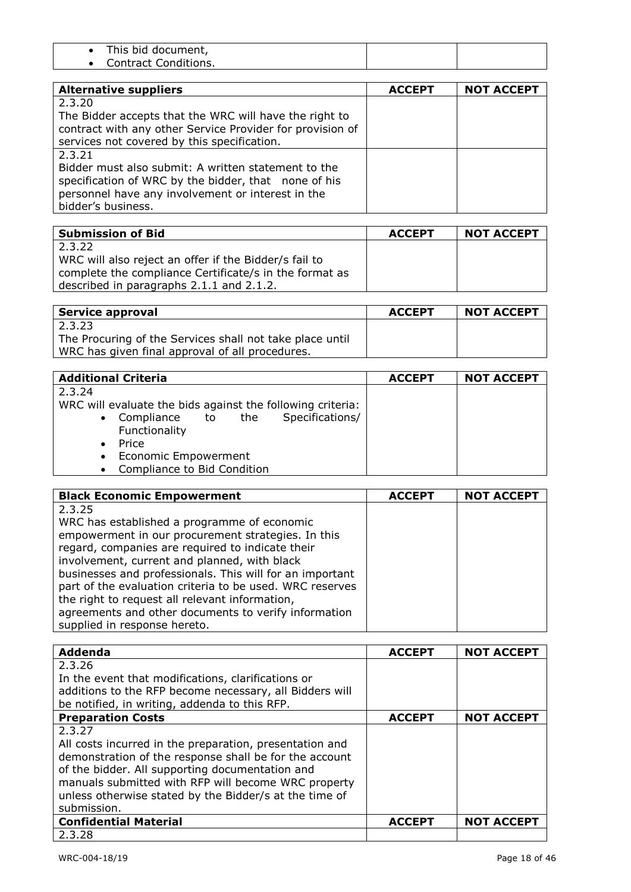| This bid document,   |  |
|----------------------|--|
| Contract Conditions. |  |

| <b>Alternative suppliers</b>                              | <b>ACCEPT</b> | <b>NOT ACCEPT</b> |
|-----------------------------------------------------------|---------------|-------------------|
| 2.3.20                                                    |               |                   |
| The Bidder accepts that the WRC will have the right to    |               |                   |
| contract with any other Service Provider for provision of |               |                   |
| services not covered by this specification.               |               |                   |
| 2.3.21                                                    |               |                   |
| Bidder must also submit: A written statement to the       |               |                   |
| specification of WRC by the bidder, that none of his      |               |                   |
| personnel have any involvement or interest in the         |               |                   |
| bidder's business.                                        |               |                   |

| <b>Submission of Bid</b>                               | <b>ACCEPT</b> | <b>NOT ACCEPT</b> |
|--------------------------------------------------------|---------------|-------------------|
| 2.3.22                                                 |               |                   |
| WRC will also reject an offer if the Bidder/s fail to  |               |                   |
| complete the compliance Certificate/s in the format as |               |                   |
| described in paragraphs 2.1.1 and 2.1.2.               |               |                   |

| Service approval                                         | <b>ACCEPT</b> | <b>NOT ACCEPT</b> |
|----------------------------------------------------------|---------------|-------------------|
| 2.3.23                                                   |               |                   |
| The Procuring of the Services shall not take place until |               |                   |
| WRC has given final approval of all procedures.          |               |                   |

| <b>Additional Criteria</b>                                 | <b>ACCEPT</b> | <b>NOT ACCEPT</b> |
|------------------------------------------------------------|---------------|-------------------|
| 2.3.24                                                     |               |                   |
| WRC will evaluate the bids against the following criteria: |               |                   |
| Specifications/<br>• Compliance to the                     |               |                   |
| Functionality                                              |               |                   |
| Price<br>$\bullet$                                         |               |                   |
| • Economic Empowerment                                     |               |                   |
| • Compliance to Bid Condition                              |               |                   |

| <b>Black Economic Empowerment</b>                        | <b>ACCEPT</b> | <b>NOT ACCEPT</b> |
|----------------------------------------------------------|---------------|-------------------|
| 2.3.25                                                   |               |                   |
| WRC has established a programme of economic              |               |                   |
| empowerment in our procurement strategies. In this       |               |                   |
| regard, companies are required to indicate their         |               |                   |
| involvement, current and planned, with black             |               |                   |
| businesses and professionals. This will for an important |               |                   |
| part of the evaluation criteria to be used. WRC reserves |               |                   |
| the right to request all relevant information,           |               |                   |
| agreements and other documents to verify information     |               |                   |
| supplied in response hereto.                             |               |                   |

| Addenda                                                 | <b>ACCEPT</b> | <b>NOT ACCEPT</b> |
|---------------------------------------------------------|---------------|-------------------|
| 2.3.26                                                  |               |                   |
| In the event that modifications, clarifications or      |               |                   |
| additions to the RFP become necessary, all Bidders will |               |                   |
| be notified, in writing, addenda to this RFP.           |               |                   |
| <b>Preparation Costs</b>                                | <b>ACCEPT</b> | <b>NOT ACCEPT</b> |
| 2.3.27                                                  |               |                   |
| All costs incurred in the preparation, presentation and |               |                   |
| demonstration of the response shall be for the account  |               |                   |
| of the bidder. All supporting documentation and         |               |                   |
| manuals submitted with RFP will become WRC property     |               |                   |
| unless otherwise stated by the Bidder/s at the time of  |               |                   |
| submission.                                             |               |                   |
| <b>Confidential Material</b>                            | <b>ACCEPT</b> | <b>NOT ACCEPT</b> |
| 2.3.28                                                  |               |                   |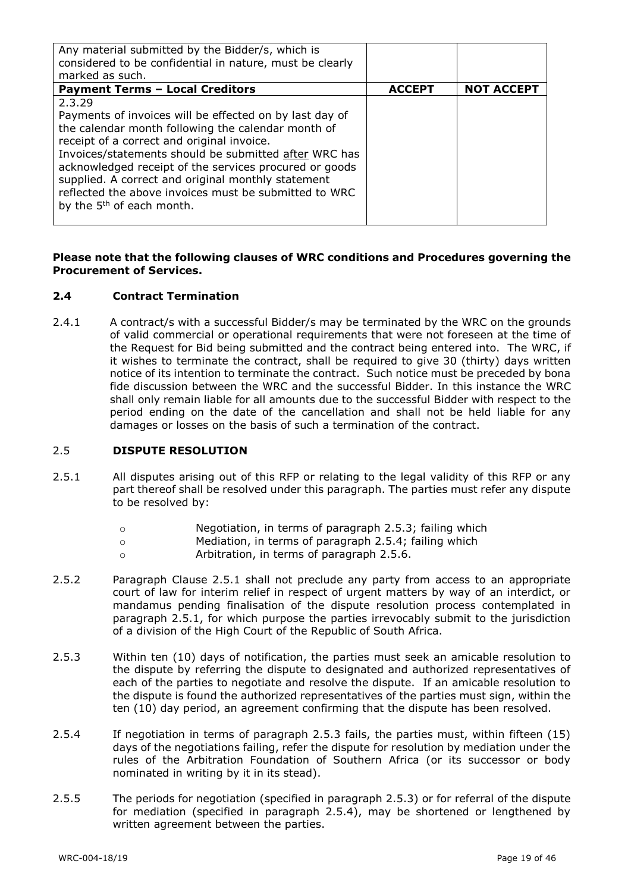| Any material submitted by the Bidder/s, which is<br>considered to be confidential in nature, must be clearly<br>marked as such.                                                                                                                                                                                                                                                                                                                  |               |                   |
|--------------------------------------------------------------------------------------------------------------------------------------------------------------------------------------------------------------------------------------------------------------------------------------------------------------------------------------------------------------------------------------------------------------------------------------------------|---------------|-------------------|
| <b>Payment Terms - Local Creditors</b>                                                                                                                                                                                                                                                                                                                                                                                                           | <b>ACCEPT</b> | <b>NOT ACCEPT</b> |
| 2.3.29<br>Payments of invoices will be effected on by last day of<br>the calendar month following the calendar month of<br>receipt of a correct and original invoice.<br>Invoices/statements should be submitted after WRC has<br>acknowledged receipt of the services procured or goods<br>supplied. A correct and original monthly statement<br>reflected the above invoices must be submitted to WRC<br>by the 5 <sup>th</sup> of each month. |               |                   |

#### **Please note that the following clauses of WRC conditions and Procedures governing the Procurement of Services.**

#### **2.4 Contract Termination**

2.4.1 A contract/s with a successful Bidder/s may be terminated by the WRC on the grounds of valid commercial or operational requirements that were not foreseen at the time of the Request for Bid being submitted and the contract being entered into. The WRC, if it wishes to terminate the contract, shall be required to give 30 (thirty) days written notice of its intention to terminate the contract. Such notice must be preceded by bona fide discussion between the WRC and the successful Bidder. In this instance the WRC shall only remain liable for all amounts due to the successful Bidder with respect to the period ending on the date of the cancellation and shall not be held liable for any damages or losses on the basis of such a termination of the contract.

#### 2.5 **DISPUTE RESOLUTION**

- 2.5.1 All disputes arising out of this RFP or relating to the legal validity of this RFP or any part thereof shall be resolved under this paragraph. The parties must refer any dispute to be resolved by:
	- o Negotiation, in terms of paragraph 2.5.3; failing which
	- o Mediation, in terms of paragraph 2.5.4; failing which
	- o Arbitration, in terms of paragraph 2.5.6.
- 2.5.2 Paragraph Clause 2.5.1 shall not preclude any party from access to an appropriate court of law for interim relief in respect of urgent matters by way of an interdict, or mandamus pending finalisation of the dispute resolution process contemplated in paragraph 2.5.1, for which purpose the parties irrevocably submit to the jurisdiction of a division of the High Court of the Republic of South Africa.
- 2.5.3 Within ten (10) days of notification, the parties must seek an amicable resolution to the dispute by referring the dispute to designated and authorized representatives of each of the parties to negotiate and resolve the dispute. If an amicable resolution to the dispute is found the authorized representatives of the parties must sign, within the ten (10) day period, an agreement confirming that the dispute has been resolved.
- 2.5.4 If negotiation in terms of paragraph 2.5.3 fails, the parties must, within fifteen (15) days of the negotiations failing, refer the dispute for resolution by mediation under the rules of the Arbitration Foundation of Southern Africa (or its successor or body nominated in writing by it in its stead).
- 2.5.5 The periods for negotiation (specified in paragraph 2.5.3) or for referral of the dispute for mediation (specified in paragraph 2.5.4), may be shortened or lengthened by written agreement between the parties.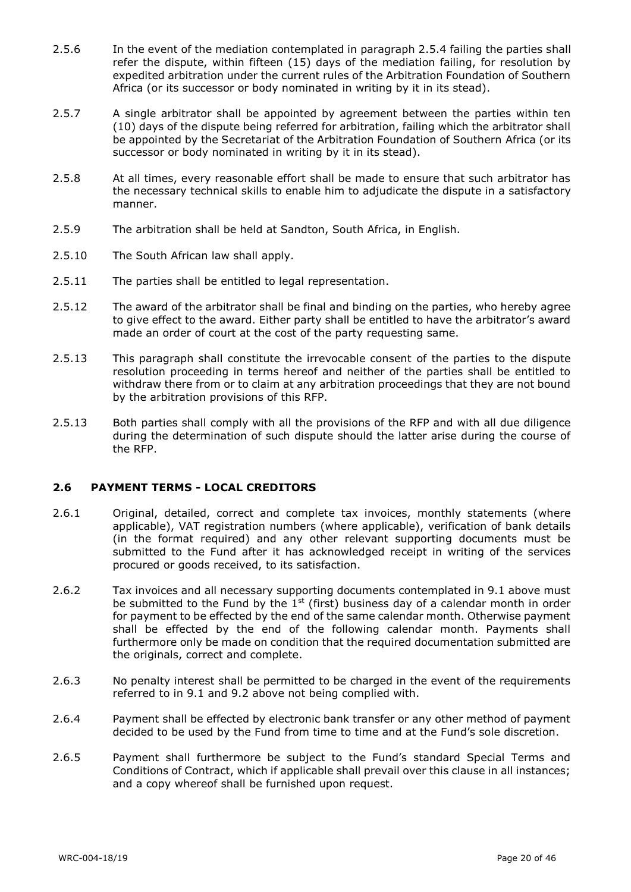- 2.5.6 In the event of the mediation contemplated in paragraph 2.5.4 failing the parties shall refer the dispute, within fifteen (15) days of the mediation failing, for resolution by expedited arbitration under the current rules of the Arbitration Foundation of Southern Africa (or its successor or body nominated in writing by it in its stead).
- 2.5.7 A single arbitrator shall be appointed by agreement between the parties within ten (10) days of the dispute being referred for arbitration, failing which the arbitrator shall be appointed by the Secretariat of the Arbitration Foundation of Southern Africa (or its successor or body nominated in writing by it in its stead).
- 2.5.8 At all times, every reasonable effort shall be made to ensure that such arbitrator has the necessary technical skills to enable him to adjudicate the dispute in a satisfactory manner.
- 2.5.9 The arbitration shall be held at Sandton, South Africa, in English.
- 2.5.10 The South African law shall apply.
- 2.5.11 The parties shall be entitled to legal representation.
- 2.5.12 The award of the arbitrator shall be final and binding on the parties, who hereby agree to give effect to the award. Either party shall be entitled to have the arbitrator's award made an order of court at the cost of the party requesting same.
- 2.5.13 This paragraph shall constitute the irrevocable consent of the parties to the dispute resolution proceeding in terms hereof and neither of the parties shall be entitled to withdraw there from or to claim at any arbitration proceedings that they are not bound by the arbitration provisions of this RFP.
- 2.5.13 Both parties shall comply with all the provisions of the RFP and with all due diligence during the determination of such dispute should the latter arise during the course of the RFP.

#### **2.6 PAYMENT TERMS - LOCAL CREDITORS**

- 2.6.1 Original, detailed, correct and complete tax invoices, monthly statements (where applicable), VAT registration numbers (where applicable), verification of bank details (in the format required) and any other relevant supporting documents must be submitted to the Fund after it has acknowledged receipt in writing of the services procured or goods received, to its satisfaction.
- 2.6.2 Tax invoices and all necessary supporting documents contemplated in 9.1 above must be submitted to the Fund by the  $1<sup>st</sup>$  (first) business day of a calendar month in order for payment to be effected by the end of the same calendar month. Otherwise payment shall be effected by the end of the following calendar month. Payments shall furthermore only be made on condition that the required documentation submitted are the originals, correct and complete.
- 2.6.3 No penalty interest shall be permitted to be charged in the event of the requirements referred to in 9.1 and 9.2 above not being complied with.
- 2.6.4 Payment shall be effected by electronic bank transfer or any other method of payment decided to be used by the Fund from time to time and at the Fund's sole discretion.
- 2.6.5 Payment shall furthermore be subject to the Fund's standard Special Terms and Conditions of Contract, which if applicable shall prevail over this clause in all instances; and a copy whereof shall be furnished upon request.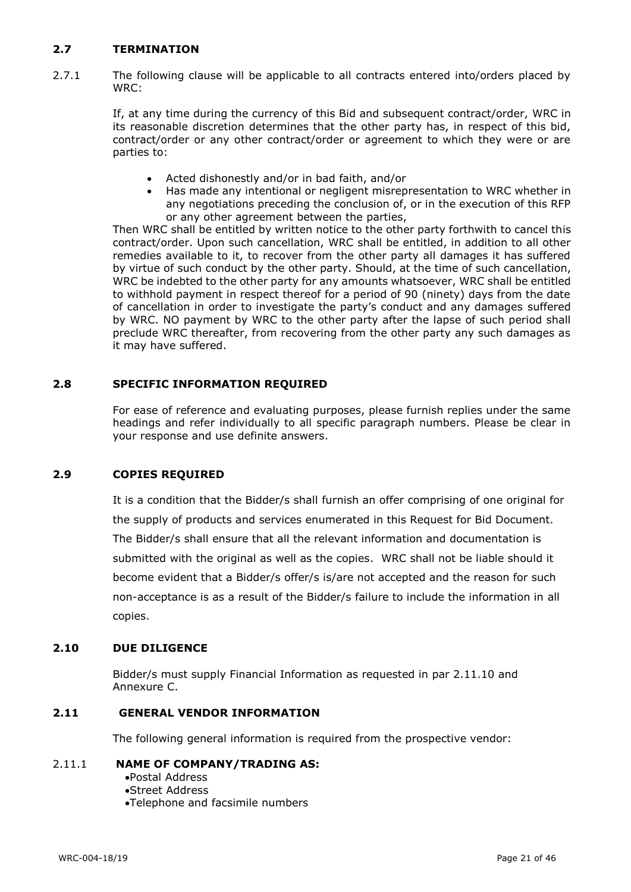## **2.7 TERMINATION**

2.7.1 The following clause will be applicable to all contracts entered into/orders placed by WRC:

> If, at any time during the currency of this Bid and subsequent contract/order, WRC in its reasonable discretion determines that the other party has, in respect of this bid, contract/order or any other contract/order or agreement to which they were or are parties to:

- Acted dishonestly and/or in bad faith, and/or
- Has made any intentional or negligent misrepresentation to WRC whether in any negotiations preceding the conclusion of, or in the execution of this RFP or any other agreement between the parties,

Then WRC shall be entitled by written notice to the other party forthwith to cancel this contract/order. Upon such cancellation, WRC shall be entitled, in addition to all other remedies available to it, to recover from the other party all damages it has suffered by virtue of such conduct by the other party. Should, at the time of such cancellation, WRC be indebted to the other party for any amounts whatsoever, WRC shall be entitled to withhold payment in respect thereof for a period of 90 (ninety) days from the date of cancellation in order to investigate the party's conduct and any damages suffered by WRC. NO payment by WRC to the other party after the lapse of such period shall preclude WRC thereafter, from recovering from the other party any such damages as it may have suffered.

#### **2.8 SPECIFIC INFORMATION REQUIRED**

For ease of reference and evaluating purposes, please furnish replies under the same headings and refer individually to all specific paragraph numbers. Please be clear in your response and use definite answers.

#### **2.9 COPIES REQUIRED**

It is a condition that the Bidder/s shall furnish an offer comprising of one original for the supply of products and services enumerated in this Request for Bid Document. The Bidder/s shall ensure that all the relevant information and documentation is submitted with the original as well as the copies. WRC shall not be liable should it become evident that a Bidder/s offer/s is/are not accepted and the reason for such non-acceptance is as a result of the Bidder/s failure to include the information in all copies.

#### **2.10 DUE DILIGENCE**

Bidder/s must supply Financial Information as requested in par 2.11.10 and Annexure C.

## **2.11 GENERAL VENDOR INFORMATION**

The following general information is required from the prospective vendor:

#### 2.11.1 **NAME OF COMPANY/TRADING AS:**

- •Postal Address
- •Street Address
- •Telephone and facsimile numbers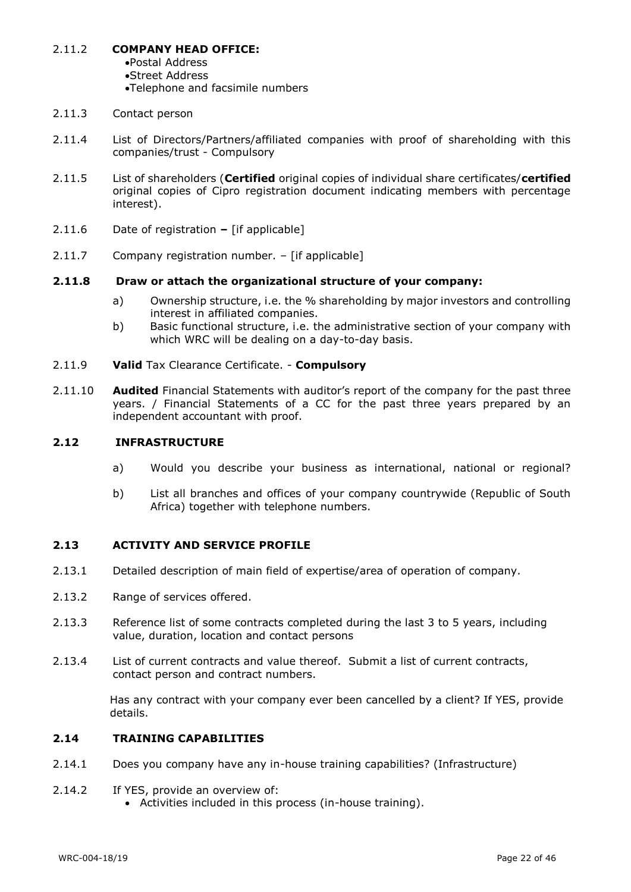- 2.11.2 **COMPANY HEAD OFFICE:**
	- •Postal Address
	- •Street Address
	- •Telephone and facsimile numbers
- 2.11.3 Contact person
- 2.11.4 List of Directors/Partners/affiliated companies with proof of shareholding with this companies/trust - Compulsory
- 2.11.5 List of shareholders (**Certified** original copies of individual share certificates/**certified** original copies of Cipro registration document indicating members with percentage interest).
- 2.11.6 Date of registration **–** [if applicable]
- 2.11.7 Company registration number. [if applicable]

#### **2.11.8 Draw or attach the organizational structure of your company:**

- a) Ownership structure, i.e. the % shareholding by major investors and controlling interest in affiliated companies.
- b) Basic functional structure, i.e. the administrative section of your company with which WRC will be dealing on a day-to-day basis.
- 2.11.9 **Valid** Tax Clearance Certificate. **Compulsory**
- 2.11.10 **Audited** Financial Statements with auditor's report of the company for the past three years. / Financial Statements of a CC for the past three years prepared by an independent accountant with proof.

#### **2.12 INFRASTRUCTURE**

- a) Would you describe your business as international, national or regional?
- b) List all branches and offices of your company countrywide (Republic of South Africa) together with telephone numbers.

## **2.13 ACTIVITY AND SERVICE PROFILE**

- 2.13.1 Detailed description of main field of expertise/area of operation of company.
- 2.13.2 Range of services offered.
- 2.13.3 Reference list of some contracts completed during the last 3 to 5 years, including value, duration, location and contact persons
- 2.13.4 List of current contracts and value thereof. Submit a list of current contracts, contact person and contract numbers.

Has any contract with your company ever been cancelled by a client? If YES, provide details.

## **2.14 TRAINING CAPABILITIES**

- 2.14.1 Does you company have any in-house training capabilities? (Infrastructure)
- 2.14.2 If YES, provide an overview of:
	- Activities included in this process (in-house training).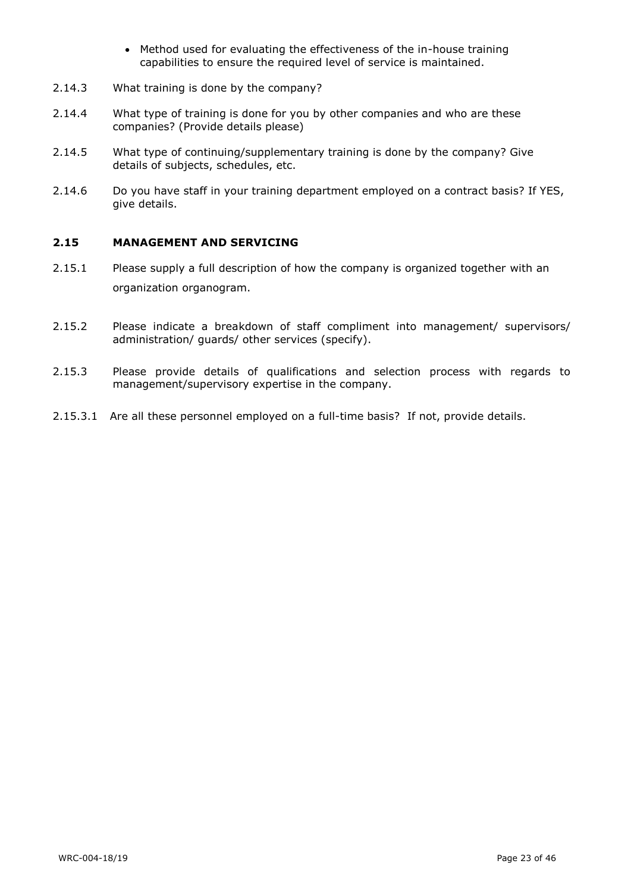- Method used for evaluating the effectiveness of the in-house training capabilities to ensure the required level of service is maintained.
- 2.14.3 What training is done by the company?
- 2.14.4 What type of training is done for you by other companies and who are these companies? (Provide details please)
- 2.14.5 What type of continuing/supplementary training is done by the company? Give details of subjects, schedules, etc.
- 2.14.6 Do you have staff in your training department employed on a contract basis? If YES, give details.

## **2.15 MANAGEMENT AND SERVICING**

- 2.15.1 Please supply a full description of how the company is organized together with an organization organogram.
- 2.15.2 Please indicate a breakdown of staff compliment into management/ supervisors/ administration/ guards/ other services (specify).
- 2.15.3 Please provide details of qualifications and selection process with regards to management/supervisory expertise in the company.
- 2.15.3.1 Are all these personnel employed on a full-time basis? If not, provide details.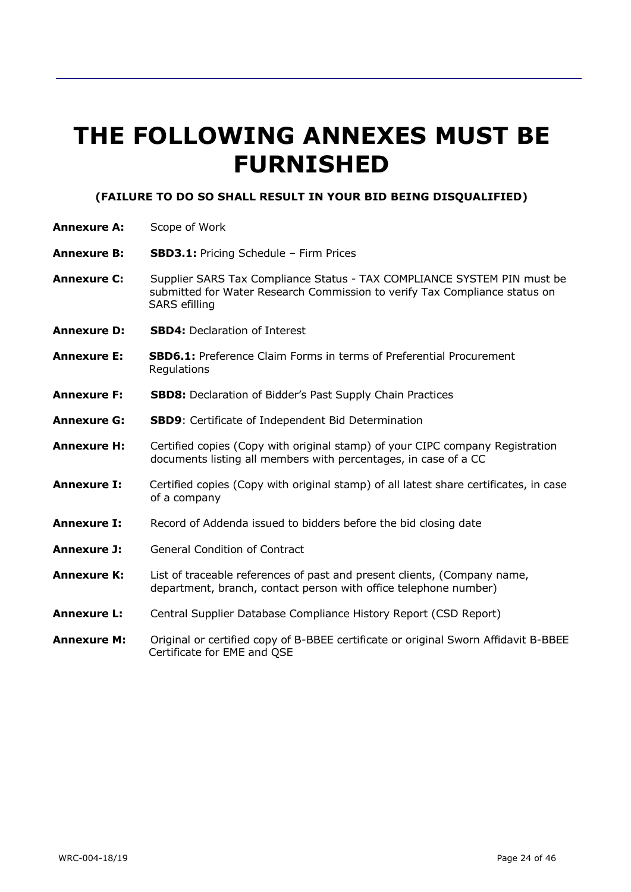# **THE FOLLOWING ANNEXES MUST BE FURNISHED**

#### **(FAILURE TO DO SO SHALL RESULT IN YOUR BID BEING DISQUALIFIED)**

- **Annexure A:** Scope of Work
- **Annexure B: SBD3.1:** Pricing Schedule Firm Prices
- **Annexure C:** Supplier SARS Tax Compliance Status TAX COMPLIANCE SYSTEM PIN must be submitted for Water Research Commission to verify Tax Compliance status on SARS efilling
- **Annexure D: SBD4:** Declaration of Interest
- **Annexure E: SBD6.1:** Preference Claim Forms in terms of Preferential Procurement **Regulations**
- **Annexure F: SBD8:** Declaration of Bidder's Past Supply Chain Practices
- **Annexure G: SBD9**: Certificate of Independent Bid Determination
- **Annexure H:** Certified copies (Copy with original stamp) of your CIPC company Registration documents listing all members with percentages, in case of a CC
- **Annexure I:** Certified copies (Copy with original stamp) of all latest share certificates, in case of a company
- **Annexure I:** Record of Addenda issued to bidders before the bid closing date
- **Annexure J:** General Condition of Contract
- **Annexure K:** List of traceable references of past and present clients, (Company name, department, branch, contact person with office telephone number)
- **Annexure L:** Central Supplier Database Compliance History Report (CSD Report)
- **Annexure M:** Original or certified copy of B-BBEE certificate or original Sworn Affidavit B-BBEE Certificate for EME and QSE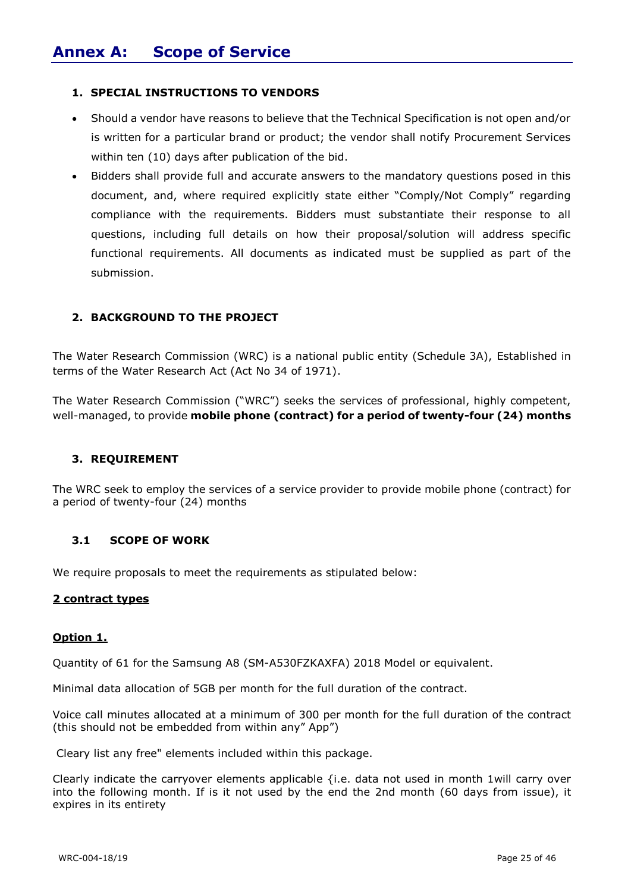#### **1. SPECIAL INSTRUCTIONS TO VENDORS**

- Should a vendor have reasons to believe that the Technical Specification is not open and/or is written for a particular brand or product; the vendor shall notify Procurement Services within ten (10) days after publication of the bid.
- Bidders shall provide full and accurate answers to the mandatory questions posed in this document, and, where required explicitly state either "Comply/Not Comply" regarding compliance with the requirements. Bidders must substantiate their response to all questions, including full details on how their proposal/solution will address specific functional requirements. All documents as indicated must be supplied as part of the submission.

## **2. BACKGROUND TO THE PROJECT**

The Water Research Commission (WRC) is a national public entity (Schedule 3A), Established in terms of the Water Research Act (Act No 34 of 1971).

The Water Research Commission ("WRC") seeks the services of professional, highly competent, well-managed, to provide **mobile phone (contract) for a period of twenty-four (24) months**

#### **3. REQUIREMENT**

The WRC seek to employ the services of a service provider to provide mobile phone (contract) for a period of twenty-four (24) months

#### **3.1 SCOPE OF WORK**

We require proposals to meet the requirements as stipulated below:

#### **2 contract types**

#### **Option 1.**

Quantity of 61 for the Samsung A8 (SM-A530FZKAXFA) 2018 Model or equivalent.

Minimal data allocation of 5GB per month for the full duration of the contract.

Voice call minutes allocated at a minimum of 300 per month for the full duration of the contract (this should not be embedded from within any" App")

Cleary list any free" elements included within this package.

Clearly indicate the carryover elements applicable {i.e. data not used in month 1will carry over into the following month. If is it not used by the end the 2nd month (60 days from issue), it expires in its entirety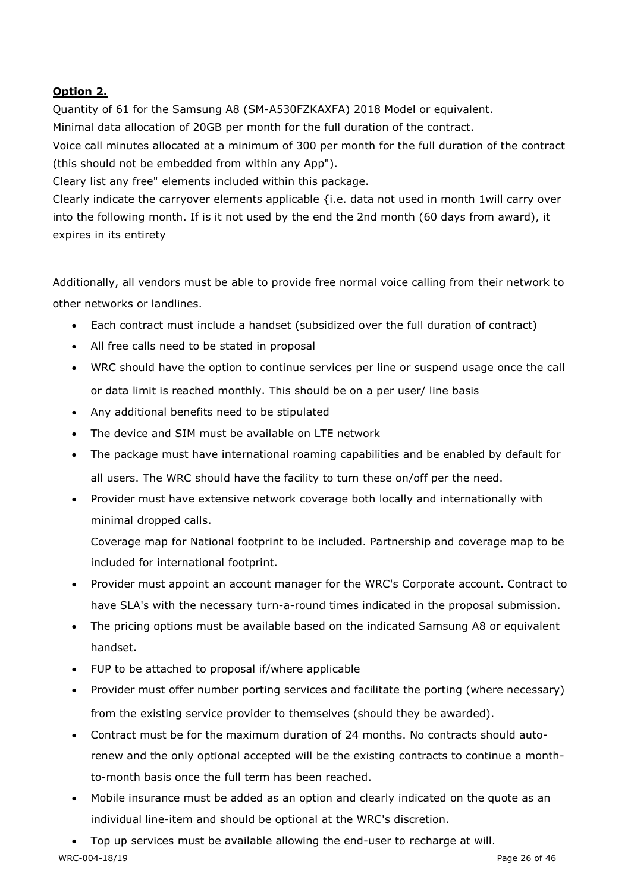## **Option 2.**

Quantity of 61 for the Samsung A8 (SM-A530FZKAXFA) 2018 Model or equivalent. Minimal data allocation of 20GB per month for the full duration of the contract. Voice call minutes allocated at a minimum of 300 per month for the full duration of the contract (this should not be embedded from within any App").

Cleary list any free" elements included within this package.

Clearly indicate the carryover elements applicable {i.e. data not used in month 1will carry over into the following month. If is it not used by the end the 2nd month (60 days from award), it expires in its entirety

Additionally, all vendors must be able to provide free normal voice calling from their network to other networks or landlines.

- Each contract must include a handset (subsidized over the full duration of contract)
- All free calls need to be stated in proposal
- WRC should have the option to continue services per line or suspend usage once the call or data limit is reached monthly. This should be on a per user/ line basis
- Any additional benefits need to be stipulated
- The device and SIM must be available on LTE network
- The package must have international roaming capabilities and be enabled by default for all users. The WRC should have the facility to turn these on/off per the need.
- Provider must have extensive network coverage both locally and internationally with minimal dropped calls.

Coverage map for National footprint to be included. Partnership and coverage map to be included for international footprint.

- Provider must appoint an account manager for the WRC's Corporate account. Contract to have SLA's with the necessary turn-a-round times indicated in the proposal submission.
- The pricing options must be available based on the indicated Samsung A8 or equivalent handset.
- FUP to be attached to proposal if/where applicable
- Provider must offer number porting services and facilitate the porting (where necessary) from the existing service provider to themselves (should they be awarded).
- Contract must be for the maximum duration of 24 months. No contracts should autorenew and the only optional accepted will be the existing contracts to continue a monthto-month basis once the full term has been reached.
- Mobile insurance must be added as an option and clearly indicated on the quote as an individual line-item and should be optional at the WRC's discretion.
- Top up services must be available allowing the end-user to recharge at will.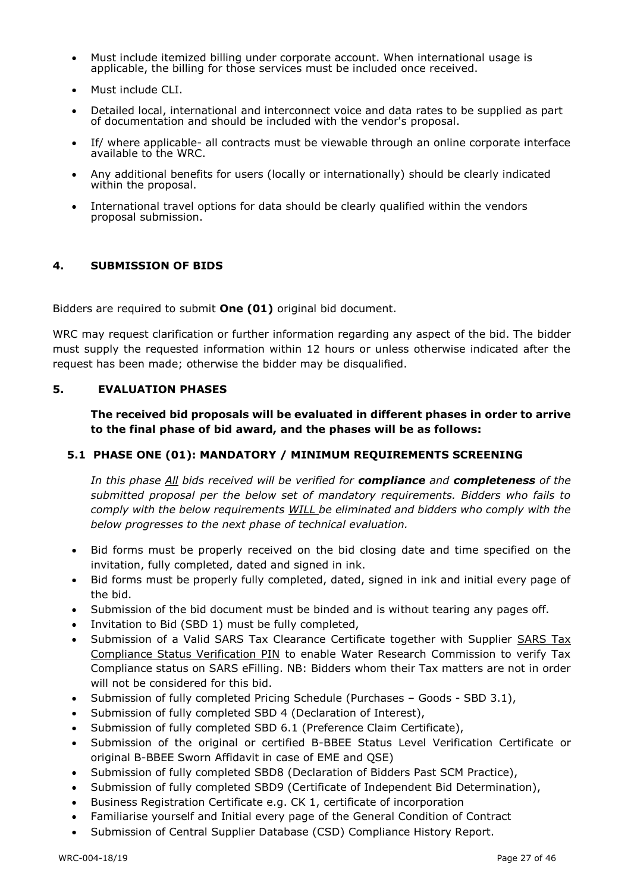- Must include itemized billing under corporate account. When international usage is applicable, the billing for those services must be included once received.
- Must include CLI.
- Detailed local, international and interconnect voice and data rates to be supplied as part of documentation and should be included with the vendor's proposal.
- If/ where applicable- all contracts must be viewable through an online corporate interface available to the WRC.
- Any additional benefits for users (locally or internationally) should be clearly indicated within the proposal.
- International travel options for data should be clearly qualified within the vendors proposal submission.

## **4. SUBMISSION OF BIDS**

Bidders are required to submit **One (01)** original bid document.

WRC may request clarification or further information regarding any aspect of the bid. The bidder must supply the requested information within 12 hours or unless otherwise indicated after the request has been made; otherwise the bidder may be disqualified.

#### **5. EVALUATION PHASES**

**The received bid proposals will be evaluated in different phases in order to arrive to the final phase of bid award, and the phases will be as follows:**

## **5.1 PHASE ONE (01): MANDATORY / MINIMUM REQUIREMENTS SCREENING**

*In this phase All bids received will be verified for compliance and completeness of the submitted proposal per the below set of mandatory requirements. Bidders who fails to comply with the below requirements WILL be eliminated and bidders who comply with the below progresses to the next phase of technical evaluation.*

- Bid forms must be properly received on the bid closing date and time specified on the invitation, fully completed, dated and signed in ink.
- Bid forms must be properly fully completed, dated, signed in ink and initial every page of the bid.
- Submission of the bid document must be binded and is without tearing any pages off.
- Invitation to Bid (SBD 1) must be fully completed,
- Submission of a Valid SARS Tax Clearance Certificate together with Supplier SARS Tax Compliance Status Verification PIN to enable Water Research Commission to verify Tax Compliance status on SARS eFilling. NB: Bidders whom their Tax matters are not in order will not be considered for this bid.
- Submission of fully completed Pricing Schedule (Purchases Goods SBD 3.1),
- Submission of fully completed SBD 4 (Declaration of Interest),
- Submission of fully completed SBD 6.1 (Preference Claim Certificate),
- Submission of the original or certified B-BBEE Status Level Verification Certificate or original B-BBEE Sworn Affidavit in case of EME and QSE)
- Submission of fully completed SBD8 (Declaration of Bidders Past SCM Practice),
- Submission of fully completed SBD9 (Certificate of Independent Bid Determination),
- Business Registration Certificate e.g. CK 1, certificate of incorporation
- Familiarise yourself and Initial every page of the General Condition of Contract
- Submission of Central Supplier Database (CSD) Compliance History Report.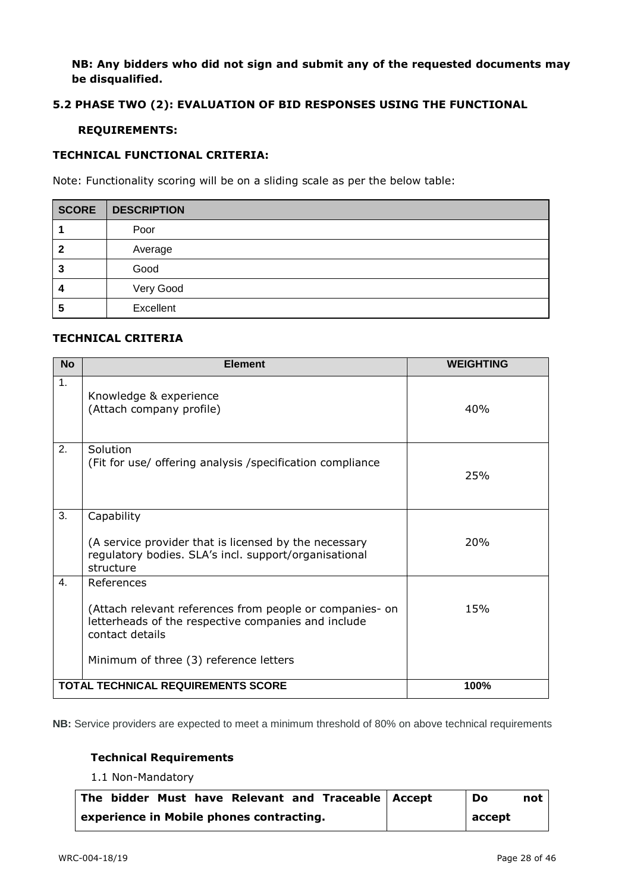### **NB: Any bidders who did not sign and submit any of the requested documents may be disqualified.**

#### **5.2 PHASE TWO (2): EVALUATION OF BID RESPONSES USING THE FUNCTIONAL**

#### **REQUIREMENTS:**

#### **TECHNICAL FUNCTIONAL CRITERIA:**

Note: Functionality scoring will be on a sliding scale as per the below table:

| <b>SCORE</b> | DESCRIPTION |
|--------------|-------------|
|              | Poor        |
|              | Average     |
| 3            | Good        |
| 4            | Very Good   |
| 5            | Excellent   |

## **TECHNICAL CRITERIA**

| <b>No</b>      | <b>Element</b>                                                                                                                     | <b>WEIGHTING</b> |
|----------------|------------------------------------------------------------------------------------------------------------------------------------|------------------|
| 1.             | Knowledge & experience<br>(Attach company profile)                                                                                 | 40%              |
| 2.             | Solution<br>(Fit for use/ offering analysis / specification compliance                                                             | 25%              |
| 3.             | Capability                                                                                                                         |                  |
|                | (A service provider that is licensed by the necessary<br>regulatory bodies. SLA's incl. support/organisational<br>structure        | 20%              |
| $\mathbf{4}$ . | References                                                                                                                         |                  |
|                | (Attach relevant references from people or companies- on<br>letterheads of the respective companies and include<br>contact details | 15%              |
|                | Minimum of three (3) reference letters                                                                                             |                  |
|                | <b>TOTAL TECHNICAL REQUIREMENTS SCORE</b>                                                                                          | 100%             |

**NB:** Service providers are expected to meet a minimum threshold of 80% on above technical requirements

## **Technical Requirements**

1.1 Non-Mandatory

| The bidder Must have Relevant and Traceable Accept | Do     | not |
|----------------------------------------------------|--------|-----|
| experience in Mobile phones contracting.           | accept |     |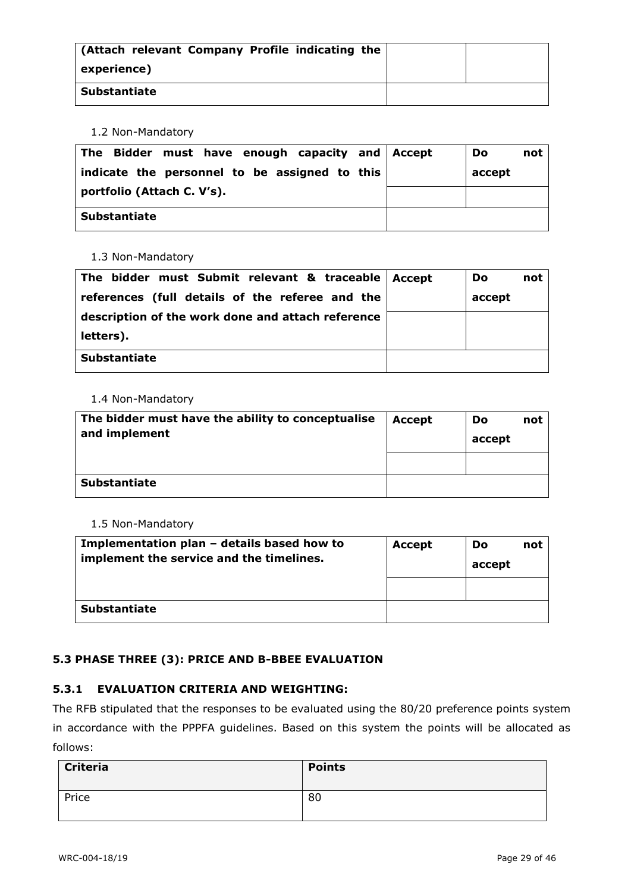| (Attach relevant Company Profile indicating the |  |
|-------------------------------------------------|--|
| experience)                                     |  |
| <b>Substantiate</b>                             |  |

1.2 Non-Mandatory

| The Bidder must have enough capacity and Accept<br>indicate the personnel to be assigned to this | Do<br>not<br>accept |
|--------------------------------------------------------------------------------------------------|---------------------|
| portfolio (Attach C. V's).                                                                       |                     |
| <b>Substantiate</b>                                                                              |                     |

1.3 Non-Mandatory

| The bidder must Submit relevant & traceable $ $ Accept | Do     | not |
|--------------------------------------------------------|--------|-----|
| references (full details of the referee and the        | accept |     |
| description of the work done and attach reference      |        |     |
| letters).                                              |        |     |
| <b>Substantiate</b>                                    |        |     |

#### 1.4 Non-Mandatory

| The bidder must have the ability to conceptualise<br>and implement | <b>Accept</b> | Do<br>accept | not |
|--------------------------------------------------------------------|---------------|--------------|-----|
|                                                                    |               |              |     |
| <b>Substantiate</b>                                                |               |              |     |

1.5 Non-Mandatory

| Implementation plan - details based how to<br>implement the service and the timelines. | Accept | <b>Do</b><br>accept | not |
|----------------------------------------------------------------------------------------|--------|---------------------|-----|
|                                                                                        |        |                     |     |
| <b>Substantiate</b>                                                                    |        |                     |     |

## **5.3 PHASE THREE (3): PRICE AND B-BBEE EVALUATION**

## **5.3.1 EVALUATION CRITERIA AND WEIGHTING:**

The RFB stipulated that the responses to be evaluated using the 80/20 preference points system in accordance with the PPPFA guidelines. Based on this system the points will be allocated as follows:

| <b>Criteria</b> | <b>Points</b> |
|-----------------|---------------|
| Price           | 80            |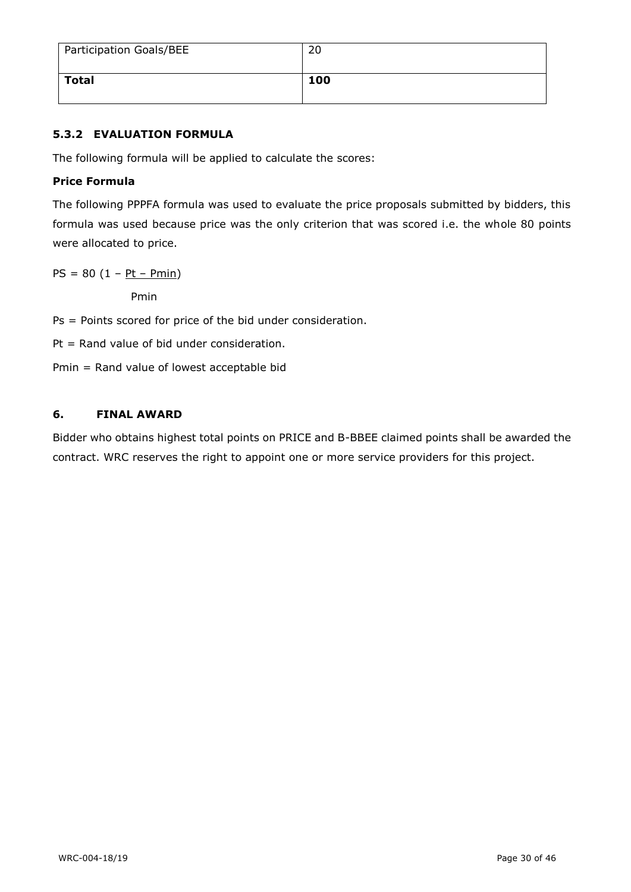| Participation Goals/BEE | 20  |
|-------------------------|-----|
| <b>Total</b>            | 100 |

## **5.3.2 EVALUATION FORMULA**

The following formula will be applied to calculate the scores:

## **Price Formula**

The following PPPFA formula was used to evaluate the price proposals submitted by bidders, this formula was used because price was the only criterion that was scored i.e. the whole 80 points were allocated to price.

 $PS = 80 (1 - Pt - Pmin)$ 

Pmin

Ps = Points scored for price of the bid under consideration.

Pt = Rand value of bid under consideration.

Pmin = Rand value of lowest acceptable bid

## **6. FINAL AWARD**

Bidder who obtains highest total points on PRICE and B-BBEE claimed points shall be awarded the contract. WRC reserves the right to appoint one or more service providers for this project.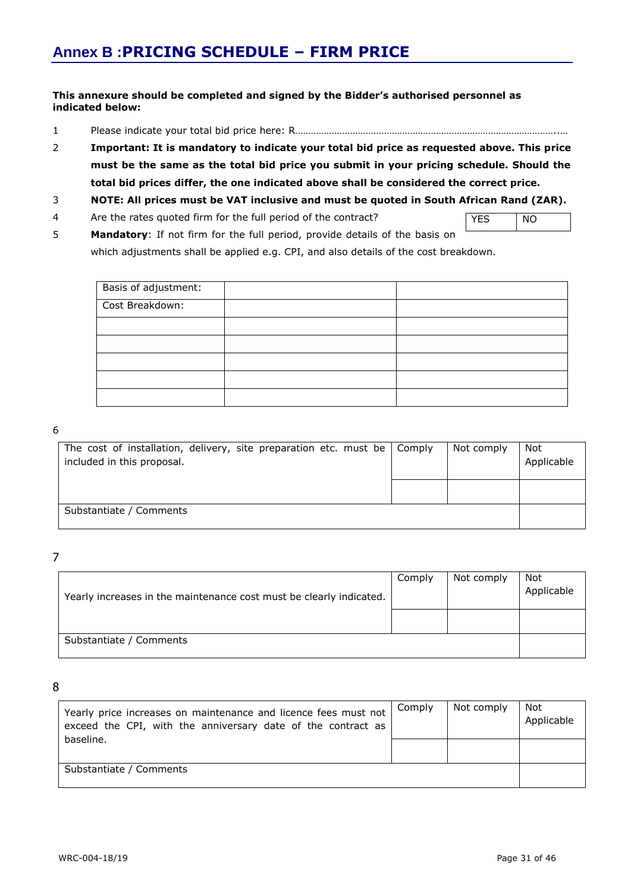#### **This annexure should be completed and signed by the Bidder's authorised personnel as indicated below:**

- 1 Please indicate your total bid price here: R………………………………………………………………………………………..…
- 2 **Important: It is mandatory to indicate your total bid price as requested above. This price must be the same as the total bid price you submit in your pricing schedule. Should the total bid prices differ, the one indicated above shall be considered the correct price.**

#### 3 **NOTE: All prices must be VAT inclusive and must be quoted in South African Rand (ZAR).**

4 Are the rates quoted firm for the full period of the contract?

YES NO

5 **Mandatory**: If not firm for the full period, provide details of the basis on which adjustments shall be applied e.g. CPI, and also details of the cost breakdown.

| Basis of adjustment: |  |
|----------------------|--|
| Cost Breakdown:      |  |
|                      |  |
|                      |  |
|                      |  |
|                      |  |
|                      |  |

#### 6

| The cost of installation, delivery, site preparation etc. must be $\Box$ Comply<br>included in this proposal. | Not comply | Not<br>Applicable |
|---------------------------------------------------------------------------------------------------------------|------------|-------------------|
|                                                                                                               |            |                   |
| Substantiate / Comments                                                                                       |            |                   |

7

| Yearly increases in the maintenance cost must be clearly indicated. | Comply | Not comply | Not<br>Applicable |
|---------------------------------------------------------------------|--------|------------|-------------------|
|                                                                     |        |            |                   |
| Substantiate / Comments                                             |        |            |                   |

8

| Yearly price increases on maintenance and licence fees must not<br>exceed the CPI, with the anniversary date of the contract as | Comply | Not comply | Not<br>Applicable |
|---------------------------------------------------------------------------------------------------------------------------------|--------|------------|-------------------|
| baseline.                                                                                                                       |        |            |                   |
| Substantiate / Comments                                                                                                         |        |            |                   |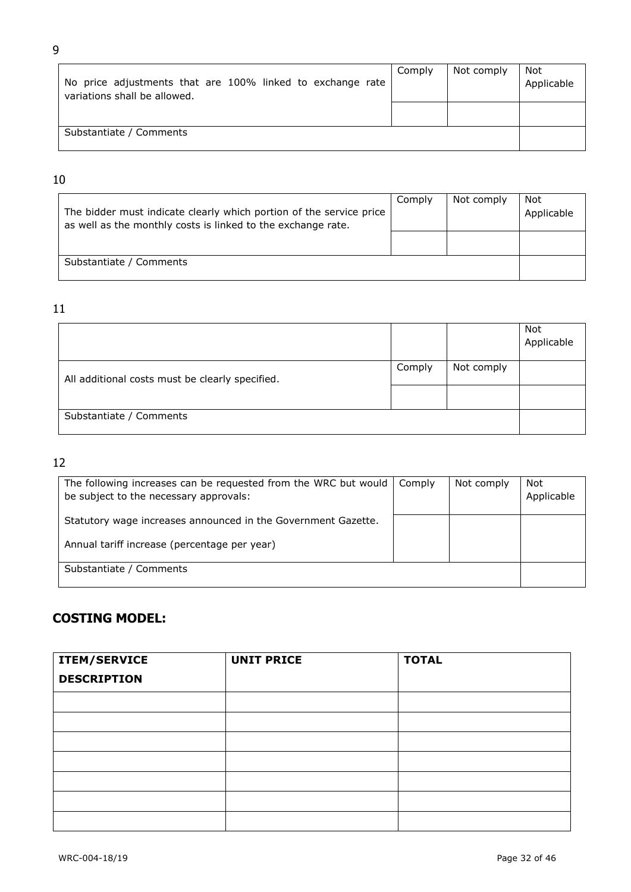| No price adjustments that are 100% linked to exchange rate<br>variations shall be allowed. | Comply | Not comply | Not<br>Applicable |
|--------------------------------------------------------------------------------------------|--------|------------|-------------------|
|                                                                                            |        |            |                   |
| Substantiate / Comments                                                                    |        |            |                   |

## 10

| The bidder must indicate clearly which portion of the service price<br>as well as the monthly costs is linked to the exchange rate. | Comply | Not comply | Not<br>Applicable |
|-------------------------------------------------------------------------------------------------------------------------------------|--------|------------|-------------------|
|                                                                                                                                     |        |            |                   |
| Substantiate / Comments                                                                                                             |        |            |                   |

## 11

|                                                 |        |            | Not<br>Applicable |
|-------------------------------------------------|--------|------------|-------------------|
| All additional costs must be clearly specified. | Comply | Not comply |                   |
|                                                 |        |            |                   |
| Substantiate / Comments                         |        |            |                   |

# 12

| The following increases can be requested from the WRC but would<br>be subject to the necessary approvals: | Comply | Not comply | Not<br>Applicable |
|-----------------------------------------------------------------------------------------------------------|--------|------------|-------------------|
| Statutory wage increases announced in the Government Gazette.                                             |        |            |                   |
| Annual tariff increase (percentage per year)                                                              |        |            |                   |
| Substantiate / Comments                                                                                   |        |            |                   |

# **COSTING MODEL:**

| <b>ITEM/SERVICE</b><br><b>DESCRIPTION</b> | <b>UNIT PRICE</b> | <b>TOTAL</b> |
|-------------------------------------------|-------------------|--------------|
|                                           |                   |              |
|                                           |                   |              |
|                                           |                   |              |
|                                           |                   |              |
|                                           |                   |              |
|                                           |                   |              |
|                                           |                   |              |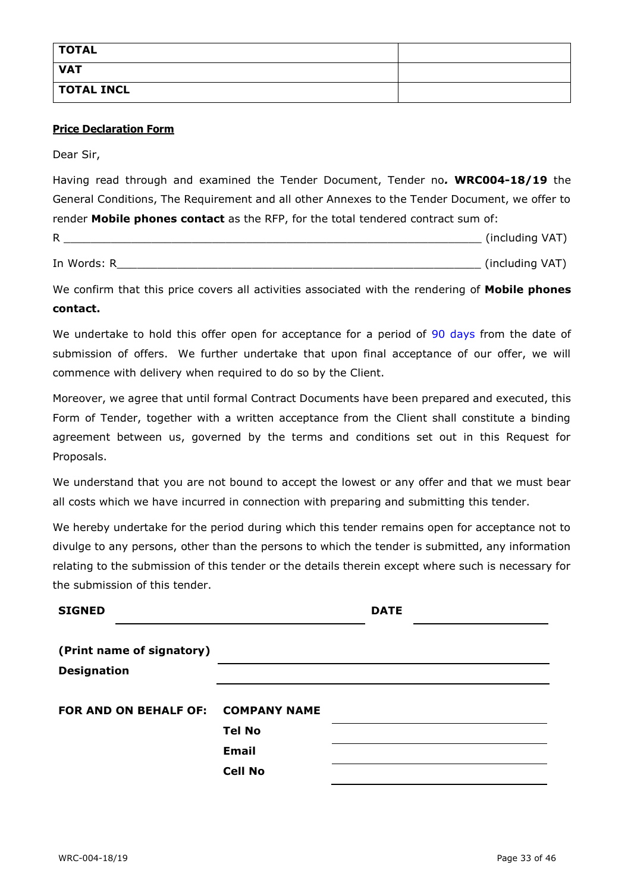| <b>TOTAL</b>      |  |
|-------------------|--|
| <b>VAT</b>        |  |
| <b>TOTAL INCL</b> |  |

#### **Price Declaration Form**

Dear Sir,

Having read through and examined the Tender Document, Tender no*.* **WRC004-18/19** the General Conditions, The Requirement and all other Annexes to the Tender Document, we offer to render **Mobile phones contact** as the RFP, for the total tendered contract sum of:

| D<br>г. | . . | $\overline{\phantom{a}}$ |
|---------|-----|--------------------------|
|         |     |                          |

In Words: R\_\_\_\_\_\_\_\_\_\_\_\_\_\_\_\_\_\_\_\_\_\_\_\_\_\_\_\_\_\_\_\_\_\_\_\_\_\_\_\_\_\_\_\_\_\_\_\_\_\_\_\_\_\_ (including VAT)

We confirm that this price covers all activities associated with the rendering of **Mobile phones contact.**

We undertake to hold this offer open for acceptance for a period of 90 days from the date of submission of offers. We further undertake that upon final acceptance of our offer, we will commence with delivery when required to do so by the Client.

Moreover, we agree that until formal Contract Documents have been prepared and executed, this Form of Tender, together with a written acceptance from the Client shall constitute a binding agreement between us, governed by the terms and conditions set out in this Request for Proposals.

We understand that you are not bound to accept the lowest or any offer and that we must bear all costs which we have incurred in connection with preparing and submitting this tender.

We hereby undertake for the period during which this tender remains open for acceptance not to divulge to any persons, other than the persons to which the tender is submitted, any information relating to the submission of this tender or the details therein except where such is necessary for the submission of this tender.

| <b>SIGNED</b>                      |                | <b>DATE</b> |  |
|------------------------------------|----------------|-------------|--|
| (Print name of signatory)          |                |             |  |
| <b>Designation</b>                 |                |             |  |
| FOR AND ON BEHALF OF: COMPANY NAME |                |             |  |
|                                    | <b>Tel No</b>  |             |  |
|                                    | <b>Email</b>   |             |  |
|                                    | <b>Cell No</b> |             |  |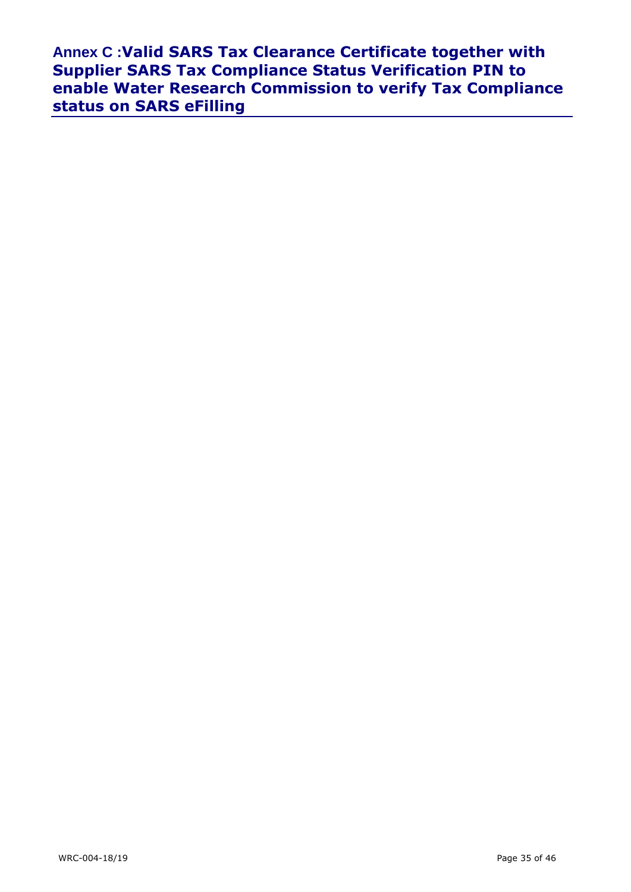**Annex C :Valid SARS Tax Clearance Certificate together with Supplier SARS Tax Compliance Status Verification PIN to enable Water Research Commission to verify Tax Compliance status on SARS eFilling**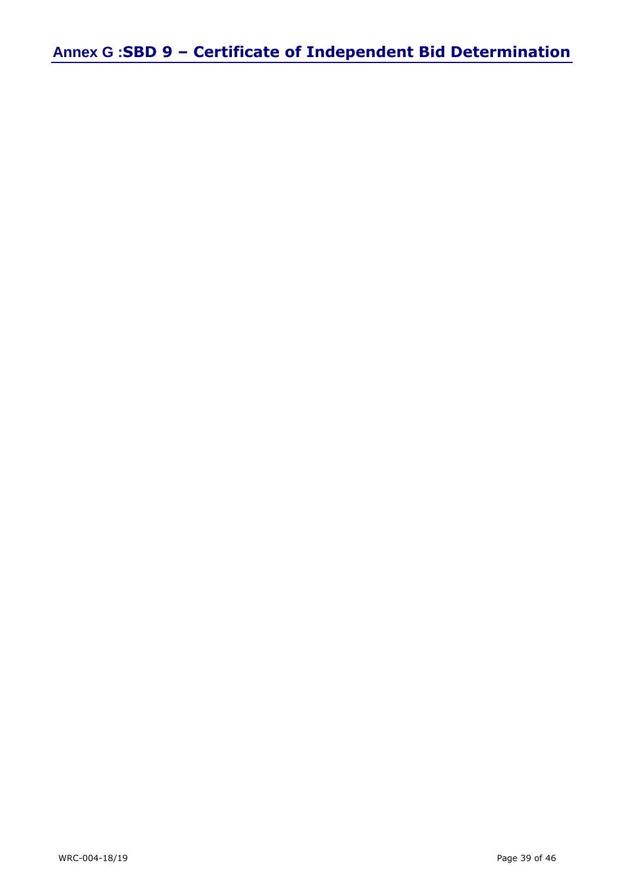**Annex G :SBD 9 – Certificate of Independent Bid Determination**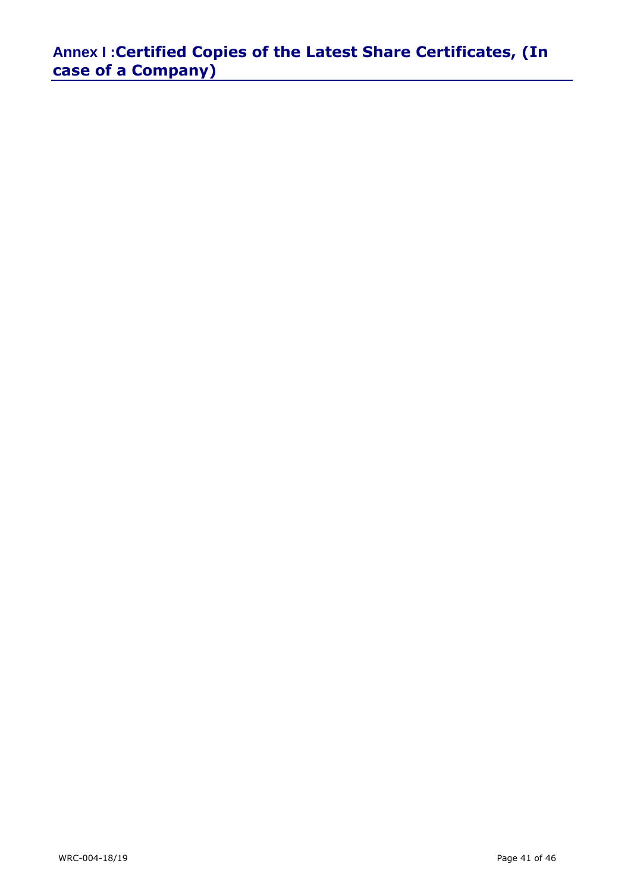**Annex I :Certified Copies of the Latest Share Certificates, (In case of a Company)**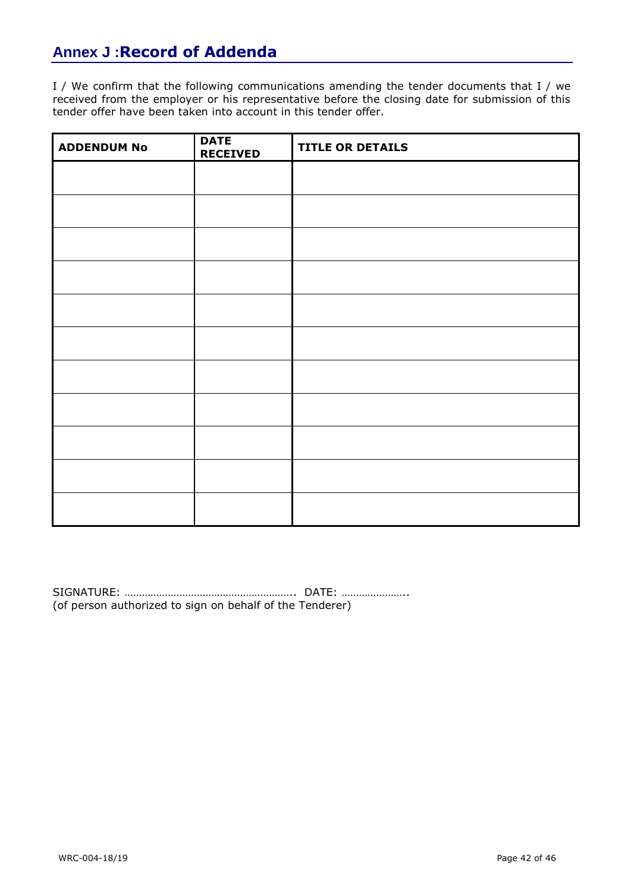# **Annex J :Record of Addenda**

I / We confirm that the following communications amending the tender documents that I / we received from the employer or his representative before the closing date for submission of this tender offer have been taken into account in this tender offer.

| <b>ADDENDUM No</b> | <b>DATE</b><br><b>RECEIVED</b> | <b>TITLE OR DETAILS</b> |
|--------------------|--------------------------------|-------------------------|
|                    |                                |                         |
|                    |                                |                         |
|                    |                                |                         |
|                    |                                |                         |
|                    |                                |                         |
|                    |                                |                         |
|                    |                                |                         |
|                    |                                |                         |
|                    |                                |                         |
|                    |                                |                         |
|                    |                                |                         |

SIGNATURE: ………………………………………………….. DATE: ………………….. (of person authorized to sign on behalf of the Tenderer)